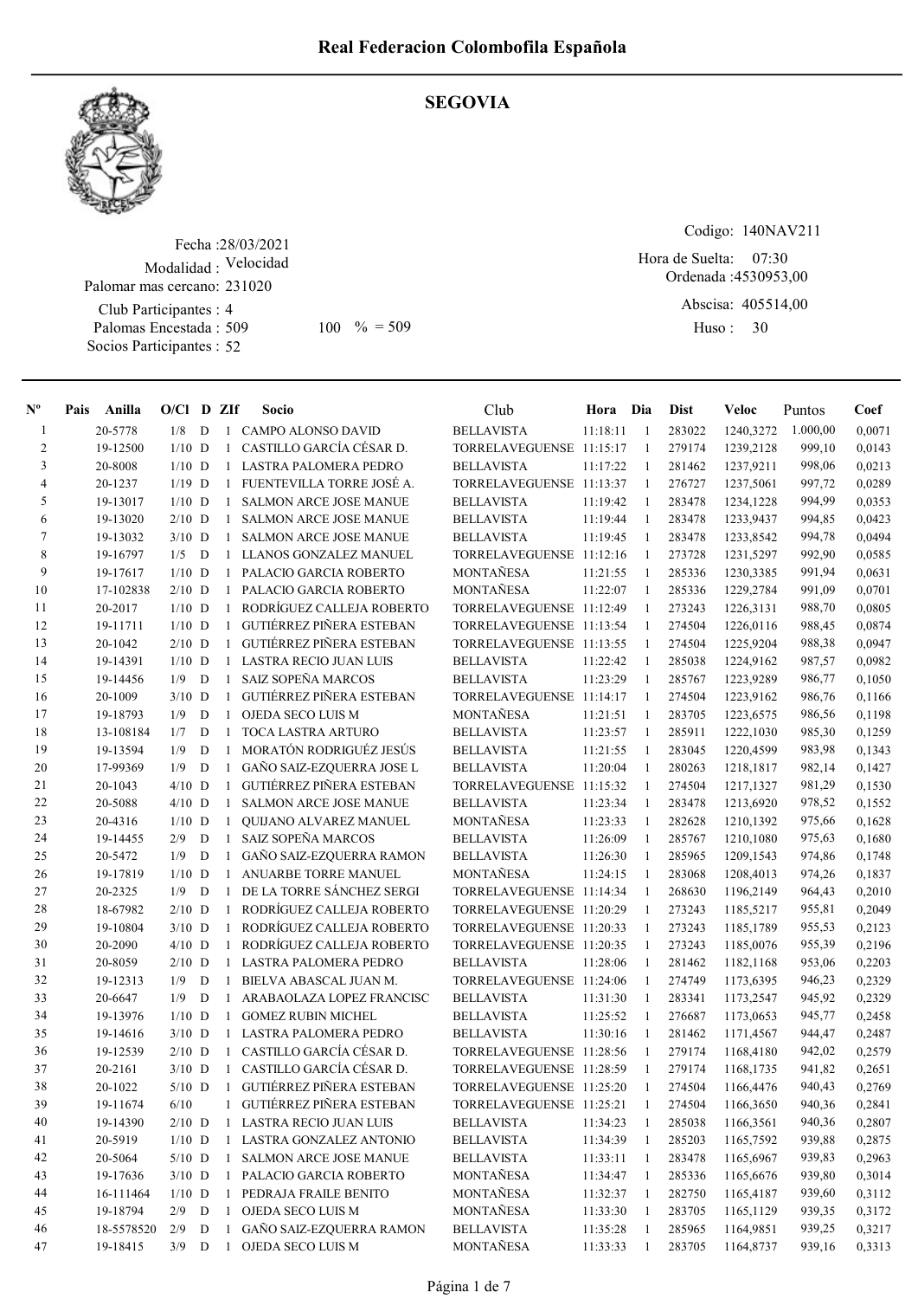

#### SEGOVIA

Fecha : 28/03/2021 Modalidad : Velocidad Palomar mas cercano: 231020

Club Participantes : 4 Palomas Encestada : 509 Socios Participantes : 52

509 100 % = 509 Huso: 30

Codigo: 140NAV211

Ordenada : 4530953,00 Hora de Suelta: 07:30

Abscisa: 405514,00

Huso: 30

| $N^{\circ}$    | Pais | Anilla      | $O/CI$ D ZIf |   |              | Socio                             | Club                       | Hora Dia |              | Dist   | Veloc            | Puntos   | Coef   |
|----------------|------|-------------|--------------|---|--------------|-----------------------------------|----------------------------|----------|--------------|--------|------------------|----------|--------|
| 1              |      | 20-5778     | 1/8          | D |              | 1 CAMPO ALONSO DAVID              | <b>BELLAVISTA</b>          | 11:18:11 | -1           | 283022 | 1240,3272        | 1.000,00 | 0,0071 |
| $\overline{2}$ |      | 19-12500    | $1/10$ D     |   |              | 1 CASTILLO GARCÍA CÉSAR D.        | TORRELAVEGUENSE 11:15:17   |          | -1           | 279174 | 1239,2128        | 999,10   | 0.0143 |
| 3              |      | 20-8008     | $1/10$ D     |   |              | 1 LASTRA PALOMERA PEDRO           | <b>BELLAVISTA</b>          | 11:17:22 | -1           | 281462 | 1237,9211        | 998,06   | 0,0213 |
| $\overline{4}$ |      | 20-1237     | $1/19$ D     |   | $\mathbf{1}$ | FUENTEVILLA TORRE JOSÉ A.         | TORRELAVEGUENSE 11:13:37   |          | -1           | 276727 | 1237,5061        | 997,72   | 0,0289 |
| 5              |      | 19-13017    | $1/10$ D     |   | 1            | <b>SALMON ARCE JOSE MANUE</b>     | <b>BELLAVISTA</b>          | 11:19:42 | -1           | 283478 | 1234,1228        | 994,99   | 0,0353 |
| 6              |      | 19-13020    | $2/10$ D     |   | $\mathbf{1}$ | <b>SALMON ARCE JOSE MANUE</b>     | <b>BELLAVISTA</b>          | 11:19:44 | $\mathbf{1}$ | 283478 | 1233,9437        | 994,85   | 0,0423 |
| 7              |      | 19-13032    | $3/10$ D     |   | 1            | <b>SALMON ARCE JOSE MANUE</b>     | <b>BELLAVISTA</b>          | 11:19:45 | 1            | 283478 | 1233,8542        | 994,78   | 0,0494 |
| 8              |      | 19-16797    | $1/5$ D      |   |              | 1 LLANOS GONZALEZ MANUEL          | TORRELAVEGUENSE 11:12:16   |          | $\mathbf{1}$ | 273728 | 1231,5297        | 992,90   | 0,0585 |
| 9              |      | 19-17617    | $1/10$ D     |   |              | 1 PALACIO GARCIA ROBERTO          | MONTAÑESA                  | 11:21:55 | -1           | 285336 | 1230,3385        | 991,94   | 0,0631 |
| 10             |      | 17-102838   | $2/10$ D     |   | $\mathbf{1}$ | PALACIO GARCIA ROBERTO            | MONTAÑESA                  | 11:22:07 | 1            | 285336 | 1229,2784        | 991,09   | 0,0701 |
| 11             |      | 20-2017     | $1/10$ D     |   | $\mathbf{1}$ | RODRÍGUEZ CALLEJA ROBERTO         | TORRELAVEGUENSE 11:12:49   |          | $\mathbf{1}$ | 273243 | 1226,3131        | 988,70   | 0,0805 |
| 12             |      | 19-11711    | $1/10$ D     |   | $\mathbf{1}$ | GUTIÉRREZ PIÑERA ESTEBAN          | TORRELAVEGUENSE 11:13:54   |          | -1           | 274504 | 1226,0116        | 988,45   | 0,0874 |
| 13             |      | 20-1042     | $2/10$ D     |   | $\mathbf{1}$ | GUTIÉRREZ PIÑERA ESTEBAN          | TORRELAVEGUENSE 11:13:55   |          | $\mathbf{1}$ | 274504 | 1225,9204        | 988,38   | 0,0947 |
| 14             |      | 19-14391    | $1/10$ D     |   |              | 1 LASTRA RECIO JUAN LUIS          | <b>BELLAVISTA</b>          | 11:22:42 | -1           | 285038 | 1224,9162        | 987,57   | 0,0982 |
| 15             |      | 19-14456    | 1/9          | D | $\mathbf{1}$ | SAIZ SOPEÑA MARCOS                | <b>BELLAVISTA</b>          | 11:23:29 | -1           | 285767 | 1223,9289        | 986,77   | 0,1050 |
| 16             |      | 20-1009     | $3/10$ D     |   | $\mathbf{1}$ | GUTIÉRREZ PIÑERA ESTEBAN          | TORRELAVEGUENSE 11:14:17   |          | -1           | 274504 | 1223,9162        | 986,76   | 0,1166 |
| 17             |      | 19-18793    | 1/9          | D | $\mathbf{1}$ | OJEDA SECO LUIS M                 | MONTAÑESA                  | 11:21:51 | -1           | 283705 | 1223,6575        | 986,56   | 0,1198 |
| 18             |      | 13-108184   | 1/7          | D | $\mathbf{1}$ | <b>TOCA LASTRA ARTURO</b>         | <b>BELLAVISTA</b>          | 11:23:57 | -1           | 285911 | 1222,1030        | 985,30   | 0,1259 |
| 19             |      | 19-13594    | 1/9          | D | $\mathbf{1}$ | MORATÓN RODRIGUÉZ JESÚS           | <b>BELLAVISTA</b>          | 11:21:55 | -1           | 283045 | 1220,4599        | 983,98   | 0,1343 |
| 20             |      | 17-99369    | 1/9          | D | 1            | GAÑO SAIZ-EZQUERRA JOSE L         | <b>BELLAVISTA</b>          | 11:20:04 | -1           | 280263 | 1218,1817        | 982,14   | 0,1427 |
| 21             |      | 20-1043     | $4/10$ D     |   | $\mathbf{1}$ | <b>GUTIÉRREZ PIÑERA ESTEBAN</b>   | TORRELAVEGUENSE 11:15:32   |          | $\mathbf{1}$ | 274504 | 1217,1327        | 981,29   | 0,1530 |
| 22             |      | 20-5088     | $4/10$ D     |   | $\mathbf{1}$ | <b>SALMON ARCE JOSE MANUE</b>     | <b>BELLAVISTA</b>          | 11:23:34 | 1            | 283478 | 1213,6920        | 978,52   | 0,1552 |
| 23             |      | 20-4316     | $1/10$ D     |   | $\mathbf{1}$ | QUIJANO ALVAREZ MANUEL            | MONTAÑESA                  | 11:23:33 | -1           | 282628 | 1210,1392        | 975,66   | 0,1628 |
| 24             |      | 19-14455    | 2/9          | D | $\mathbf{1}$ | <b>SAIZ SOPEÑA MARCOS</b>         | <b>BELLAVISTA</b>          | 11:26:09 | -1           | 285767 | 1210,1080        | 975,63   | 0,1680 |
| 25             |      | 20-5472     | 1/9          | D | 1            | GAÑO SAIZ-EZQUERRA RAMON          | <b>BELLAVISTA</b>          | 11:26:30 | -1           | 285965 | 1209,1543        | 974,86   | 0,1748 |
| 26             |      | 19-17819    | $1/10$ D     |   | $\mathbf{1}$ | ANUARBE TORRE MANUEL              | <b>MONTAÑESA</b>           | 11:24:15 | -1           | 283068 | 1208,4013        | 974,26   | 0,1837 |
| 27             |      | 20-2325     | 1/9          | D | $\mathbf{1}$ | DE LA TORRE SÁNCHEZ SERGI         | TORRELAVEGUENSE 11:14:34   |          | $\mathbf{1}$ | 268630 | 1196,2149        | 964,43   | 0,2010 |
| 28             |      | 18-67982    | $2/10$ D     |   | 1            | RODRÍGUEZ CALLEJA ROBERTO         | TORRELAVEGUENSE 11:20:29   |          | 1            | 273243 | 1185,5217        | 955,81   | 0,2049 |
| 29             |      | 19-10804    | $3/10$ D     |   | $\mathbf{1}$ | RODRÍGUEZ CALLEJA ROBERTO         | TORRELAVEGUENSE 11:20:33   |          | $\mathbf{1}$ | 273243 | 1185,1789        | 955,53   | 0,2123 |
| 30             |      | 20-2090     | $4/10$ D     |   | $\mathbf{1}$ | RODRÍGUEZ CALLEJA ROBERTO         | TORRELAVEGUENSE 11:20:35   |          | 1            | 273243 | 1185,0076        | 955,39   | 0,2196 |
| 31             |      | 20-8059     | $2/10$ D     |   | $\mathbf{1}$ | LASTRA PALOMERA PEDRO             | <b>BELLAVISTA</b>          | 11:28:06 | 1            | 281462 | 1182,1168        | 953,06   | 0,2203 |
| 32             |      | 19-12313    | 1/9          | D | $\mathbf{1}$ | BIELVA ABASCAL JUAN M.            | TORRELAVEGUENSE 11:24:06   |          | $\mathbf{1}$ | 274749 | 1173,6395        | 946,23   | 0,2329 |
| 33             |      | 20-6647     | 1/9          | D | $\mathbf{1}$ | ARABAOLAZA LOPEZ FRANCISC         | <b>BELLAVISTA</b>          | 11:31:30 | $\mathbf{1}$ | 283341 | 1173,2547        | 945,92   | 0,2329 |
| 34             |      | 19-13976    | $1/10$ D     |   | $\mathbf{1}$ | <b>GOMEZ RUBIN MICHEL</b>         | <b>BELLAVISTA</b>          | 11:25:52 | $\mathbf{1}$ | 276687 | 1173,0653        | 945,77   | 0,2458 |
| 35             |      | 19-14616    | $3/10$ D     |   | $\mathbf{1}$ | LASTRA PALOMERA PEDRO             | <b>BELLAVISTA</b>          | 11:30:16 | -1           | 281462 | 1171,4567        | 944,47   | 0,2487 |
| 36             |      | 19-12539    | $2/10$ D     |   | $\mathbf{1}$ | CASTILLO GARCÍA CÉSAR D.          | TORRELAVEGUENSE 11:28:56   |          | -1           | 279174 | 1168,4180        | 942,02   | 0,2579 |
| 37             |      | 20-2161     | $3/10$ D     |   |              | 1 CASTILLO GARCÍA CÉSAR D.        | TORRELAVEGUENSE 11:28:59   |          | -1           | 279174 | 1168,1735        | 941,82   | 0,2651 |
| 38             |      | $20 - 1022$ |              |   |              | 5/10 D 1 GUTIÉRREZ PIÑERA ESTEBAN | TORRELAVEGUENSE 11:25:20 1 |          |              |        | 274504 1166,4476 | 940,43   | 0,2769 |
| 39             |      | 19-11674    | 6/10         |   |              | 1 GUTIÉRREZ PIÑERA ESTEBAN        | TORRELAVEGUENSE 11:25:21   |          | 1            | 274504 | 1166,3650        | 940,36   | 0,2841 |
| 40             |      | 19-14390    | $2/10$ D     |   |              | 1 LASTRA RECIO JUAN LUIS          | <b>BELLAVISTA</b>          | 11:34:23 | 1            | 285038 | 1166,3561        | 940,36   | 0,2807 |
| 41             |      | 20-5919     | $1/10$ D     |   |              | 1 LASTRA GONZALEZ ANTONIO         | <b>BELLAVISTA</b>          | 11:34:39 | $\mathbf{1}$ | 285203 | 1165,7592        | 939,88   | 0,2875 |
| 42             |      | 20-5064     | $5/10$ D     |   | -1           | SALMON ARCE JOSE MANUE            | <b>BELLAVISTA</b>          | 11:33:11 | -1           | 283478 | 1165,6967        | 939,83   | 0,2963 |
| 43             |      | 19-17636    | $3/10$ D     |   |              | 1 PALACIO GARCIA ROBERTO          | MONTAÑESA                  | 11:34:47 | $\mathbf{1}$ | 285336 | 1165,6676        | 939,80   | 0,3014 |
| 44             |      | 16-111464   | $1/10$ D     |   |              | 1 PEDRAJA FRAILE BENITO           | MONTAÑESA                  | 11:32:37 | -1           | 282750 | 1165,4187        | 939,60   | 0,3112 |
| 45             |      | 19-18794    | $2/9$ D      |   | $\mathbf{1}$ | OJEDA SECO LUIS M                 | MONTAÑESA                  | 11:33:30 | -1           | 283705 | 1165,1129        | 939,35   | 0,3172 |
| 46             |      | 18-5578520  | 2/9          | D | $\mathbf{1}$ | GAÑO SAIZ-EZQUERRA RAMON          | <b>BELLAVISTA</b>          | 11:35:28 | 1            | 285965 | 1164,9851        | 939,25   | 0,3217 |
| 47             |      | 19-18415    | $3/9$ D      |   | $\mathbf{1}$ | OJEDA SECO LUIS M                 | MONTAÑESA                  | 11:33:33 | 1            | 283705 | 1164,8737        | 939,16   | 0,3313 |
|                |      |             |              |   |              |                                   |                            |          |              |        |                  |          |        |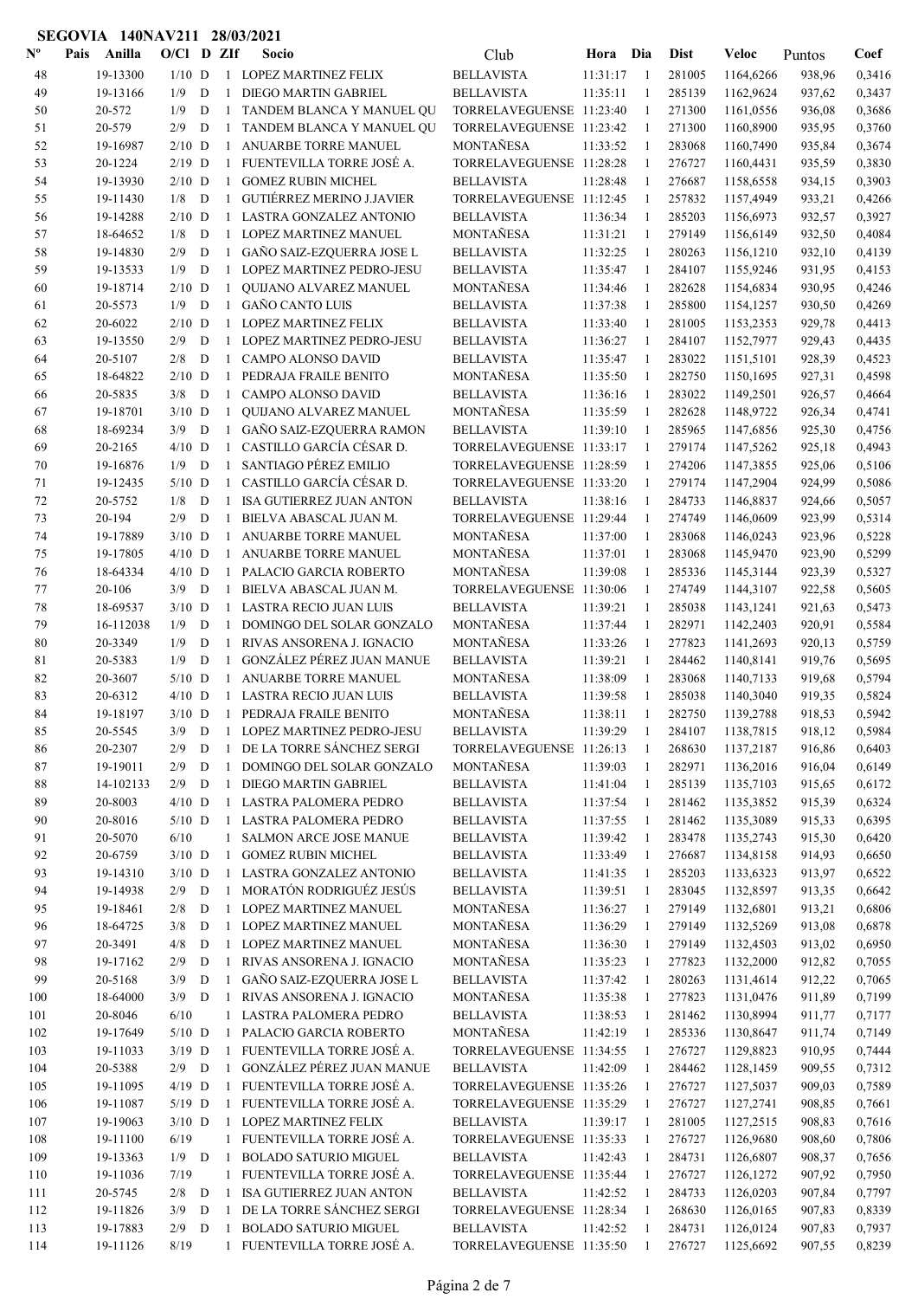| $\mathbf{N}^{\mathbf{o}}$ | Pais | Anilla              | $O/C1$ D ZIf    |             |              | Socio                                                  | Club                                                 | Hora                 | Dia                | <b>Dist</b>      | Veloc                  | Puntos           | Coef             |
|---------------------------|------|---------------------|-----------------|-------------|--------------|--------------------------------------------------------|------------------------------------------------------|----------------------|--------------------|------------------|------------------------|------------------|------------------|
| 48                        |      | 19-13300            | $1/10$ D        |             |              | 1 LOPEZ MARTINEZ FELIX                                 | <b>BELLAVISTA</b>                                    | 11:31:17             | $\overline{1}$     | 281005           | 1164,6266              | 938,96           | 0,3416           |
| 49                        |      | 19-13166            | 1/9             | D           | $\mathbf{1}$ | DIEGO MARTIN GABRIEL                                   | <b>BELLAVISTA</b>                                    | 11:35:11             | -1                 | 285139           | 1162,9624              | 937,62           | 0,3437           |
| 50                        |      | 20-572              | 1/9             | D           | $\mathbf{1}$ | TANDEM BLANCA Y MANUEL QU                              | TORRELAVEGUENSE 11:23:40                             |                      | $\mathbf{1}$       | 271300           | 1161,0556              | 936,08           | 0,3686           |
| 51                        |      | 20-579              | 2/9             | D           | $\mathbf{1}$ | TANDEM BLANCA Y MANUEL QU                              | TORRELAVEGUENSE 11:23:42                             |                      | $\mathbf{1}$       | 271300           | 1160,8900              | 935,95           | 0,3760           |
| 52                        |      | 19-16987            | $2/10$ D        |             | $\mathbf{1}$ | ANUARBE TORRE MANUEL                                   | MONTAÑESA                                            | 11:33:52             | -1                 | 283068           | 1160,7490              | 935,84           | 0,3674           |
| 53                        |      | 20-1224             | $2/19$ D        |             | $\mathbf{1}$ | FUENTEVILLA TORRE JOSÉ A.                              | TORRELAVEGUENSE 11:28:28                             |                      | $\mathbf{1}$       | 276727           | 1160,4431              | 935,59           | 0,3830           |
| 54                        |      | 19-13930            | $2/10$ D        |             |              | 1 GOMEZ RUBIN MICHEL                                   | <b>BELLAVISTA</b>                                    | 11:28:48             | $\mathbf{1}$       | 276687           | 1158,6558              | 934,15           | 0,3903           |
| 55                        |      | 19-11430            | 1/8             | D           | $\mathbf{1}$ | <b>GUTIÉRREZ MERINO J.JAVIER</b>                       | TORRELAVEGUENSE 11:12:45                             |                      | -1                 | 257832           | 1157,4949              | 933,21           | 0,4266           |
| 56                        |      | 19-14288            | $2/10$ D        |             | $\mathbf{1}$ | LASTRA GONZALEZ ANTONIO                                | <b>BELLAVISTA</b>                                    | 11:36:34             | $\mathbf{1}$       | 285203           | 1156,6973              | 932,57           | 0,3927           |
| 57                        |      | 18-64652            | 1/8             | D           | $\mathbf{1}$ | <b>LOPEZ MARTINEZ MANUEL</b>                           | <b>MONTAÑESA</b>                                     | 11:31:21             | 1                  | 279149           | 1156,6149              | 932,50           | 0,4084           |
| 58                        |      | 19-14830            | 2/9             | D           | $\mathbf{1}$ | GAÑO SAIZ-EZQUERRA JOSE L                              | <b>BELLAVISTA</b>                                    | 11:32:25             | 1                  | 280263           | 1156,1210              | 932,10           | 0,4139           |
| 59                        |      | 19-13533            | 1/9             | D           | $\mathbf{1}$ | LOPEZ MARTINEZ PEDRO-JESU                              | <b>BELLAVISTA</b>                                    | 11:35:47             | $\mathbf{1}$       | 284107           | 1155,9246              | 931,95           | 0,4153           |
| 60                        |      | 19-18714            | $2/10$ D        |             | $\mathbf{1}$ | QUIJANO ALVAREZ MANUEL                                 | MONTAÑESA                                            | 11:34:46             | 1                  | 282628           | 1154,6834              | 930,95           | 0,4246           |
| 61                        |      | 20-5573             | 1/9             | D           | $\mathbf{1}$ | <b>GAÑO CANTO LUIS</b>                                 | <b>BELLAVISTA</b>                                    | 11:37:38             | -1                 | 285800           | 1154,1257              | 930,50           | 0,4269           |
| 62                        |      | 20-6022             | 2/10            | D           | $\mathbf{1}$ | LOPEZ MARTINEZ FELIX                                   | <b>BELLAVISTA</b>                                    | 11:33:40             | $\mathbf{1}$       | 281005           | 1153,2353              | 929,78           | 0,4413           |
| 63                        |      | 19-13550            | 2/9             | D           | $\mathbf{1}$ | LOPEZ MARTINEZ PEDRO-JESU                              | <b>BELLAVISTA</b>                                    | 11:36:27             | -1                 | 284107           | 1152,7977              | 929,43           | 0,4435           |
| 64                        |      | 20-5107             | 2/8             | D           | $\mathbf{1}$ | <b>CAMPO ALONSO DAVID</b>                              | <b>BELLAVISTA</b>                                    | 11:35:47             | -1                 | 283022           | 1151,5101              | 928,39           | 0,4523           |
| 65                        |      | 18-64822            | $2/10$ D        |             | $\mathbf{1}$ | PEDRAJA FRAILE BENITO                                  | <b>MONTAÑESA</b>                                     | 11:35:50             | $\mathbf{1}$       | 282750           | 1150,1695              | 927,31           | 0,4598           |
| 66                        |      | 20-5835             | 3/8             | D           | $\mathbf{1}$ | <b>CAMPO ALONSO DAVID</b>                              | <b>BELLAVISTA</b>                                    | 11:36:16             | $\mathbf{1}$       | 283022           | 1149,2501              | 926,57           | 0,4664           |
| 67                        |      | 19-18701            | $3/10$ D        |             | $\mathbf{1}$ | QUIJANO ALVAREZ MANUEL                                 | <b>MONTAÑESA</b>                                     | 11:35:59             | 1                  | 282628           | 1148,9722              | 926,34           | 0,4741           |
| 68                        |      | 18-69234            | 3/9             | $\mathbf D$ | $\mathbf{1}$ | GAÑO SAIZ-EZQUERRA RAMON<br>CASTILLO GARCÍA CÉSAR D.   | <b>BELLAVISTA</b>                                    | 11:39:10             | $\mathbf{1}$       | 285965           | 1147,6856              | 925,30           | 0,4756           |
| 69                        |      | 20-2165             | $4/10$ D        |             | $\mathbf{1}$ |                                                        | TORRELAVEGUENSE 11:33:17<br>TORRELAVEGUENSE 11:28:59 |                      | 1                  | 279174           | 1147,5262              | 925,18           | 0,4943           |
| 70                        |      | 19-16876            | 1/9             | D           | $\mathbf{1}$ | SANTIAGO PÉREZ EMILIO<br>1 CASTILLO GARCÍA CÉSAR D.    | TORRELAVEGUENSE 11:33:20                             |                      | -1                 | 274206<br>279174 | 1147,3855              | 925,06           | 0,5106           |
| 71<br>72                  |      | 19-12435<br>20-5752 | $5/10$ D<br>1/8 | D           | $\mathbf{1}$ | <b>ISA GUTIERREZ JUAN ANTON</b>                        | <b>BELLAVISTA</b>                                    | 11:38:16             | -1<br>1            | 284733           | 1147,2904<br>1146,8837 | 924,99           | 0,5086<br>0,5057 |
| 73                        |      | 20-194              | 2/9             | D           | $\mathbf{1}$ | BIELVA ABASCAL JUAN M.                                 | TORRELAVEGUENSE 11:29:44                             |                      | -1                 | 274749           | 1146,0609              | 924,66<br>923,99 | 0,5314           |
| 74                        |      | 19-17889            | $3/10$ D        |             | $\mathbf{1}$ | ANUARBE TORRE MANUEL                                   | <b>MONTAÑESA</b>                                     | 11:37:00             | $\mathbf{1}$       | 283068           | 1146,0243              | 923,96           | 0,5228           |
| 75                        |      | 19-17805            | $4/10$ D        |             | $\mathbf{1}$ | ANUARBE TORRE MANUEL                                   | MONTAÑESA                                            | 11:37:01             | -1                 | 283068           | 1145,9470              | 923,90           | 0,5299           |
| 76                        |      | 18-64334            | $4/10$ D        |             | $\mathbf{1}$ | PALACIO GARCIA ROBERTO                                 | <b>MONTAÑESA</b>                                     | 11:39:08             | -1                 | 285336           | 1145,3144              | 923,39           | 0,5327           |
| 77                        |      | 20-106              | 3/9             | D           | $\mathbf{1}$ | BIELVA ABASCAL JUAN M.                                 | TORRELAVEGUENSE 11:30:06                             |                      | $\mathbf{1}$       | 274749           | 1144,3107              | 922,58           | 0,5605           |
| 78                        |      | 18-69537            | $3/10$ D        |             | $\mathbf{1}$ | LASTRA RECIO JUAN LUIS                                 | <b>BELLAVISTA</b>                                    | 11:39:21             | $\mathbf{1}$       | 285038           | 1143,1241              | 921,63           | 0,5473           |
| 79                        |      | 16-112038           | 1/9             | D           | $\mathbf{1}$ | DOMINGO DEL SOLAR GONZALO                              | <b>MONTAÑESA</b>                                     | 11:37:44             | -1                 | 282971           | 1142,2403              | 920,91           | 0,5584           |
| 80                        |      | 20-3349             | 1/9             | D           | 1            | RIVAS ANSORENA J. IGNACIO                              | <b>MONTAÑESA</b>                                     | 11:33:26             | 1                  | 277823           | 1141,2693              | 920,13           | 0,5759           |
| 81                        |      | 20-5383             | 1/9             | D           | $\mathbf{1}$ | GONZÁLEZ PÉREZ JUAN MANUE                              | <b>BELLAVISTA</b>                                    | 11:39:21             | 1                  | 284462           | 1140,8141              | 919,76           | 0,5695           |
| 82                        |      | 20-3607             | $5/10$ D        |             | $\mathbf{1}$ | ANUARBE TORRE MANUEL                                   | MONTAÑESA                                            | 11:38:09             | 1                  | 283068           | 1140,7133              | 919,68           | 0,5794           |
| 83                        |      | 20-6312             | $4/10$ D        |             | $\mathbf{1}$ | <b>LASTRA RECIO JUAN LUIS</b>                          | <b>BELLAVISTA</b>                                    | 11:39:58             | 1                  | 285038           | 1140,3040              | 919,35           | 0,5824           |
| 84                        |      | 19-18197            | $3/10$ D        |             |              | 1 PEDRAJA FRAILE BENITO                                | MONTAÑESA                                            | 11:38:11             | 1                  | 282750           | 1139,2788              | 918,53           | 0,5942           |
| 85                        |      | 20-5545             | 3/9             | D           | $\mathbf{1}$ | LOPEZ MARTINEZ PEDRO-JESU                              | BELLAVISTA                                           | 11:39:29             |                    | 284107           | 1138,7815              | 918,12           | 0,5984           |
| 86                        |      | 20-2307             | 2/9             | D           |              | 1 DE LA TORRE SÁNCHEZ SERGI                            | TORRELAVEGUENSE 11:26:13                             |                      |                    | 268630           | 1137,2187              | 916,86           | 0,6403           |
| 87                        |      | 19-19011            | 2/9             | D           | $\mathbf{1}$ | DOMINGO DEL SOLAR GONZALO                              | MONTAÑESA                                            | 11:39:03             | 1                  | 282971           | 1136,2016              | 916,04           | 0,6149           |
| 88                        |      | 14-102133           | 2/9             | D           | $\mathbf{1}$ | DIEGO MARTIN GABRIEL                                   | <b>BELLAVISTA</b>                                    | 11:41:04             | -1                 | 285139           | 1135,7103              | 915,65           | 0,6172           |
| 89                        |      | 20-8003             | $4/10$ D        |             |              | 1 LASTRA PALOMERA PEDRO                                | <b>BELLAVISTA</b>                                    | 11:37:54             | -1                 | 281462           | 1135,3852              | 915,39           | 0,6324           |
| 90                        |      | 20-8016             | $5/10$ D        |             |              | 1 LASTRA PALOMERA PEDRO                                | <b>BELLAVISTA</b>                                    | 11:37:55             | $\mathbf{1}$       | 281462           | 1135,3089              | 915,33           | 0,6395           |
| 91                        |      | 20-5070             | 6/10            |             |              | 1 SALMON ARCE JOSE MANUE                               | <b>BELLAVISTA</b>                                    | 11:39:42             | 1                  | 283478           | 1135,2743              | 915,30           | 0,6420           |
| 92                        |      | 20-6759             | $3/10$ D        |             | $\mathbf{1}$ | <b>GOMEZ RUBIN MICHEL</b>                              | <b>BELLAVISTA</b>                                    | 11:33:49             | 1                  | 276687           | 1134,8158              | 914,93           | 0,6650           |
| 93                        |      | 19-14310            | $3/10$ D        |             |              | 1 LASTRA GONZALEZ ANTONIO                              | <b>BELLAVISTA</b>                                    | 11:41:35             | 1                  | 285203           | 1133,6323              | 913,97           | 0,6522           |
| 94                        |      | 19-14938            | $2/9$ D         |             |              | 1 MORATÓN RODRIGUÉZ JESÚS                              | <b>BELLAVISTA</b>                                    | 11:39:51             | -1                 | 283045           | 1132,8597              | 913,35           | 0,6642           |
| 95                        |      | 19-18461            | $2/8$           | D           |              | 1 LOPEZ MARTINEZ MANUEL                                | MONTAÑESA                                            | 11:36:27             | -1                 | 279149           | 1132,6801              | 913,21           | 0,6806           |
| 96                        |      | 18-64725            | 3/8             | D           |              | 1 LOPEZ MARTINEZ MANUEL                                | MONTAÑESA                                            | 11:36:29             | 1                  | 279149           | 1132,5269              | 913,08           | 0,6878           |
| 97                        |      | 20-3491             | 4/8             | D           |              | 1 LOPEZ MARTINEZ MANUEL                                | MONTAÑESA                                            | 11:36:30             | 1                  | 279149           | 1132,4503              | 913,02           | 0,6950           |
| 98                        |      | 19-17162            | 2/9             | D           | $\mathbf{1}$ | RIVAS ANSORENA J. IGNACIO                              | MONTAÑESA                                            | 11:35:23             | 1                  | 277823           | 1132,2000              | 912,82           | 0,7055           |
| 99                        |      | 20-5168             | 3/9             | D           |              | 1 GAÑO SAIZ-EZQUERRA JOSE L                            | <b>BELLAVISTA</b>                                    | 11:37:42             | 1                  | 280263           | 1131,4614              | 912,22           | 0,7065           |
| 100                       |      | 18-64000<br>20-8046 | 3/9<br>$6/10$   | D           |              | 1 RIVAS ANSORENA J. IGNACIO<br>1 LASTRA PALOMERA PEDRO | MONTAÑESA<br><b>BELLAVISTA</b>                       | 11:35:38             | -1                 | 277823<br>281462 | 1131,0476<br>1130,8994 | 911,89<br>911,77 | 0,7199<br>0,7177 |
| 101<br>102                |      | 19-17649            | $5/10$ D        |             |              | 1 PALACIO GARCIA ROBERTO                               | MONTAÑESA                                            | 11:38:53<br>11:42:19 | -1<br>$\mathbf{1}$ | 285336           | 1130,8647              | 911,74           | 0,7149           |
| 103                       |      | 19-11033            | $3/19$ D        |             |              | 1 FUENTEVILLA TORRE JOSÉ A.                            | TORRELAVEGUENSE 11:34:55                             |                      | 1                  | 276727           | 1129,8823              | 910,95           | 0,7444           |
| 104                       |      | 20-5388             | $2/9$ D         |             | $\mathbf{1}$ | GONZÁLEZ PÉREZ JUAN MANUE                              | <b>BELLAVISTA</b>                                    | 11:42:09             | 1                  | 284462           | 1128,1459              | 909,55           | 0,7312           |
| 105                       |      | 19-11095            | $4/19$ D        |             | $\mathbf{1}$ | FUENTEVILLA TORRE JOSÉ A.                              | TORRELAVEGUENSE 11:35:26                             |                      | 1                  | 276727           | 1127,5037              | 909,03           | 0,7589           |
| 106                       |      | 19-11087            | $5/19$ D        |             |              | 1 FUENTEVILLA TORRE JOSÉ A.                            | TORRELAVEGUENSE 11:35:29                             |                      | 1                  | 276727           | 1127,2741              | 908,85           | 0,7661           |
| 107                       |      | 19-19063            | $3/10$ D        |             |              | 1 LOPEZ MARTINEZ FELIX                                 | <b>BELLAVISTA</b>                                    | 11:39:17             | -1                 | 281005           | 1127,2515              | 908,83           | 0,7616           |
| 108                       |      | 19-11100            | 6/19            |             |              | 1 FUENTEVILLA TORRE JOSÉ A.                            | TORRELAVEGUENSE 11:35:33                             |                      | -1                 | 276727           | 1126,9680              | 908,60           | 0,7806           |
| 109                       |      | 19-13363            | $1/9$ D         |             | 1            | <b>BOLADO SATURIO MIGUEL</b>                           | <b>BELLAVISTA</b>                                    | 11:42:43             | 1                  | 284731           | 1126,6807              | 908,37           | 0,7656           |
| 110                       |      | 19-11036            | 7/19            |             |              | 1 FUENTEVILLA TORRE JOSÉ A.                            | TORRELAVEGUENSE 11:35:44                             |                      | 1                  | 276727           | 1126,1272              | 907,92           | 0,7950           |
| 111                       |      | 20-5745             | 2/8             | D           | $\mathbf{1}$ | ISA GUTIERREZ JUAN ANTON                               | <b>BELLAVISTA</b>                                    | 11:42:52             | $\mathbf{1}$       | 284733           | 1126,0203              | 907,84           | 0,7797           |
| 112                       |      | 19-11826            | 3/9             | D           |              | 1 DE LA TORRE SÁNCHEZ SERGI                            | TORRELAVEGUENSE 11:28:34                             |                      | 1                  | 268630           | 1126,0165              | 907,83           | 0,8339           |
| 113                       |      | 19-17883            | 2/9             | D           | $\mathbf{1}$ | <b>BOLADO SATURIO MIGUEL</b>                           | <b>BELLAVISTA</b>                                    | 11:42:52             | 1                  | 284731           | 1126,0124              | 907,83           | 0,7937           |
| 114                       |      | 19-11126            | 8/19            |             |              | 1 FUENTEVILLA TORRE JOSÉ A.                            | TORRELAVEGUENSE 11:35:50                             |                      | -1                 | 276727           | 1125,6692              | 907,55           | 0,8239           |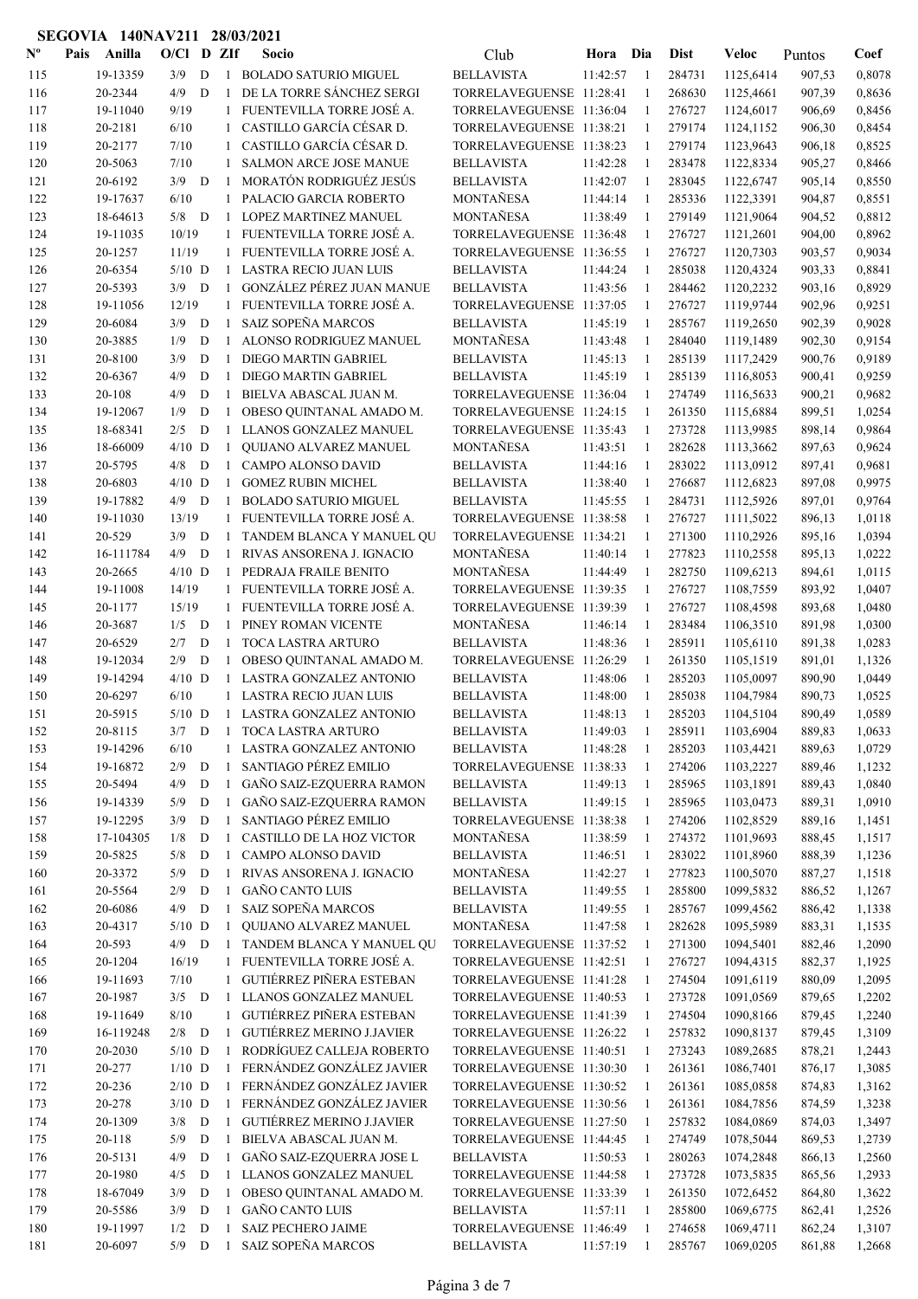| $N^{\text{o}}$ | Anilla<br>Pais      | 17011A<br>$O/CI$ D ZIf |             | 20/VJ        | Socio                                                    | Club                                                 | Hora Dia   |              | Dist             | Veloc                  | Puntos           | Coef             |
|----------------|---------------------|------------------------|-------------|--------------|----------------------------------------------------------|------------------------------------------------------|------------|--------------|------------------|------------------------|------------------|------------------|
| 115            | 19-13359            | 3/9                    | D           | $\mathbf{1}$ | <b>BOLADO SATURIO MIGUEL</b>                             | <b>BELLAVISTA</b>                                    | 11:42:57   | -1           | 284731           | 1125,6414              | 907,53           | 0,8078           |
| 116            | 20-2344             | 4/9                    | D           | -1           | DE LA TORRE SÁNCHEZ SERGI                                | TORRELAVEGUENSE 11:28:41                             |            | $\mathbf{1}$ | 268630           | 1125,4661              | 907,39           | 0,8636           |
| 117            | 19-11040            | 9/19                   |             | 1            | FUENTEVILLA TORRE JOSÉ A.                                | TORRELAVEGUENSE 11:36:04                             |            | -1           | 276727           | 1124,6017              | 906,69           | 0,8456           |
| 118            | 20-2181             | 6/10                   |             | 1            | CASTILLO GARCÍA CÉSAR D.                                 | TORRELAVEGUENSE 11:38:21                             |            | 1            | 279174           | 1124,1152              | 906,30           | 0,8454           |
| 119            | 20-2177             | 7/10                   |             | $\mathbf{1}$ | CASTILLO GARCÍA CÉSAR D.                                 | TORRELAVEGUENSE 11:38:23                             |            | 1            | 279174           | 1123,9643              | 906,18           | 0,8525           |
| 120            | 20-5063             | 7/10                   |             | $\mathbf{1}$ | <b>SALMON ARCE JOSE MANUE</b>                            | <b>BELLAVISTA</b>                                    | 11:42:28   | -1           | 283478           | 1122,8334              | 905,27           | 0,8466           |
| 121            | 20-6192             | 3/9                    | D           | $\mathbf{1}$ | MORATÓN RODRIGUÉZ JESÚS                                  | <b>BELLAVISTA</b>                                    | 11:42:07   | -1           | 283045           | 1122,6747              | 905,14           | 0,8550           |
| 122            | 19-17637            | 6/10                   |             | $1\,$        | PALACIO GARCIA ROBERTO                                   | MONTAÑESA                                            | 11:44:14   | 1            | 285336           | 1122,3391              | 904,87           | 0,8551           |
| 123            | 18-64613            | $5/8$ D                |             | -1           | LOPEZ MARTINEZ MANUEL                                    | MONTAÑESA                                            | 11:38:49   | $\mathbf{1}$ | 279149           | 1121,9064              | 904,52           | 0,8812           |
| 124            | 19-11035            | 10/19                  |             |              | 1 FUENTEVILLA TORRE JOSÉ A.                              | TORRELAVEGUENSE 11:36:48                             |            | -1           | 276727           | 1121,2601              | 904,00           | 0,8962           |
| 125            | 20-1257             | 11/19                  |             |              | 1 FUENTEVILLA TORRE JOSÉ A.                              | TORRELAVEGUENSE 11:36:55                             |            | -1           | 276727           | 1120,7303              | 903,57           | 0,9034           |
| 126            | 20-6354             | $5/10$ D               |             |              | 1 LASTRA RECIO JUAN LUIS                                 | <b>BELLAVISTA</b>                                    | 11:44:24   | -1           | 285038           | 1120,4324              | 903,33           | 0,8841           |
| 127            | 20-5393             | 3/9                    | D           | -1           | GONZÁLEZ PÉREZ JUAN MANUE                                | <b>BELLAVISTA</b>                                    | 11:43:56   | -1           | 284462           | 1120,2232              | 903,16           | 0,8929           |
| 128            | 19-11056            | 12/19                  |             |              | 1 FUENTEVILLA TORRE JOSÉ A.                              | TORRELAVEGUENSE 11:37:05                             |            | -1           | 276727           | 1119,9744              | 902,96           | 0,9251           |
| 129            | 20-6084             | 3/9                    | D           | 1            | <b>SAIZ SOPEÑA MARCOS</b>                                | <b>BELLAVISTA</b>                                    | 11:45:19   | -1           | 285767           | 1119,2650              | 902,39           | 0,9028           |
| 130            | 20-3885             | 1/9                    | D           | $\mathbf{1}$ | ALONSO RODRIGUEZ MANUEL                                  | MONTAÑESA                                            | 11:43:48   | -1           | 284040           | 1119,1489              | 902,30           | 0,9154           |
| 131            | 20-8100             | 3/9                    | D           | -1           | DIEGO MARTIN GABRIEL                                     | <b>BELLAVISTA</b>                                    | 11:45:13   | -1           | 285139           | 1117,2429              | 900,76           | 0,9189           |
| 132            | 20-6367             | 4/9                    | D           | $\mathbf{1}$ | DIEGO MARTIN GABRIEL                                     | <b>BELLAVISTA</b>                                    | 11:45:19   | -1           | 285139           | 1116,8053              | 900,41           | 0,9259           |
| 133            | 20-108              | 4/9                    | D           | $\mathbf{1}$ | BIELVA ABASCAL JUAN M.                                   | TORRELAVEGUENSE 11:36:04                             |            | -1           | 274749           | 1116,5633              | 900,21           | 0,9682           |
| 134            | 19-12067            | 1/9                    | D           | $\mathbf{1}$ | OBESO QUINTANAL AMADO M.                                 | TORRELAVEGUENSE 11:24:15                             |            | $\mathbf{1}$ | 261350           | 1115,6884              | 899,51           | 1,0254           |
| 135            | 18-68341            | 2/5                    | D           | -1           | LLANOS GONZALEZ MANUEL                                   | TORRELAVEGUENSE 11:35:43                             |            | $\mathbf{1}$ | 273728           | 1113,9985              | 898,14           | 0,9864           |
| 136            | 18-66009            | $4/10$ D               |             | -1           | QUIJANO ALVAREZ MANUEL                                   | MONTAÑESA                                            | 11:43:51   | -1           | 282628           | 1113,3662              | 897,63           | 0,9624           |
| 137            | 20-5795             | 4/8                    | D           | $\mathbf{1}$ | CAMPO ALONSO DAVID                                       | <b>BELLAVISTA</b>                                    | 11:44:16   | -1           | 283022           | 1113,0912              | 897,41           | 0,9681           |
| 138            | 20-6803             | $4/10$ D               |             | 1            | <b>GOMEZ RUBIN MICHEL</b>                                | <b>BELLAVISTA</b>                                    | 11:38:40   | -1           | 276687           | 1112,6823              | 897,08           | 0,9975           |
| 139            | 19-17882            | 4/9                    | D           | -1           | <b>BOLADO SATURIO MIGUEL</b>                             | <b>BELLAVISTA</b>                                    | 11:45:55   | -1           | 284731           | 1112,5926              | 897,01           | 0,9764           |
| 140            | 19-11030            | 13/19                  |             |              | 1 FUENTEVILLA TORRE JOSÉ A.                              | TORRELAVEGUENSE 11:38:58                             |            | 1            | 276727           | 1111,5022              | 896,13           | 1,0118           |
| 141            | 20-529              | 3/9                    | D           | -1           | TANDEM BLANCA Y MANUEL QU                                | TORRELAVEGUENSE 11:34:21                             |            | 1            | 271300           | 1110,2926              | 895,16           | 1,0394           |
| 142            | 16-111784           | 4/9                    | D           | -1           | RIVAS ANSORENA J. IGNACIO                                | MONTAÑESA<br>MONTAÑESA                               | 11:40:14   | 1            | 277823           | 1110,2558              | 895,13           | 1,0222           |
| 143            | 20-2665<br>19-11008 | $4/10$ D<br>14/19      |             | -1           | PEDRAJA FRAILE BENITO<br>1 FUENTEVILLA TORRE JOSÉ A.     | TORRELAVEGUENSE 11:39:35                             | 11:44:49   | 1            | 282750<br>276727 | 1109,6213<br>1108,7559 | 894,61<br>893,92 | 1,0115<br>1,0407 |
| 144<br>145     | 20-1177             | 15/19                  |             |              | 1 FUENTEVILLA TORRE JOSÉ A.                              | TORRELAVEGUENSE 11:39:39                             |            | 1<br>-1      | 276727           | 1108,4598              | 893,68           | 1,0480           |
| 146            | 20-3687             | 1/5                    | D           | $\mathbf{1}$ | PINEY ROMAN VICENTE                                      | MONTAÑESA                                            | 11:46:14   | 1            | 283484           | 1106,3510              | 891,98           | 1,0300           |
| 147            | 20-6529             | 2/7                    | D           | $\mathbf{1}$ | TOCA LASTRA ARTURO                                       | <b>BELLAVISTA</b>                                    | 11:48:36   | -1           | 285911           | 1105,6110              | 891,38           | 1,0283           |
| 148            | 19-12034            | 2/9                    | D           | -1           | OBESO QUINTANAL AMADO M.                                 | TORRELAVEGUENSE 11:26:29                             |            | -1           | 261350           | 1105,1519              | 891,01           | 1,1326           |
| 149            | 19-14294            |                        | $4/10$ D    | -1           | LASTRA GONZALEZ ANTONIO                                  | <b>BELLAVISTA</b>                                    | 11:48:06   | -1           | 285203           | 1105,0097              | 890,90           | 1,0449           |
| 150            | 20-6297             | 6/10                   |             |              | 1 LASTRA RECIO JUAN LUIS                                 | <b>BELLAVISTA</b>                                    | 11:48:00   | -1           | 285038           | 1104,7984              | 890,73           | 1,0525           |
| 151            | 20-5915             |                        | $5/10$ D    |              | 1 LASTRA GONZALEZ ANTONIO                                | <b>BELLAVISTA</b>                                    | 11:48:13   | -1           | 285203           | 1104,5104              | 890,49           | 1.0589           |
| 152            | 20-8115             |                        |             |              | 3/7 D 1 TOCA LASTRA ARTURO                               | <b>BELLAVISTA</b>                                    | 11:49:03 1 |              |                  | 285911 1103,6904       | 889,83           | 1,0633           |
| 153            | 19-14296            | 6/10                   |             |              | 1 LASTRA GONZALEZ ANTONIO                                | <b>BELLAVISTA</b>                                    | 11:48:28   | $\mathbf{1}$ | 285203           | 1103,4421              | 889,63           | 1,0729           |
| 154            | 19-16872            | 2/9                    | D           | -1           | SANTIAGO PÉREZ EMILIO                                    | TORRELAVEGUENSE 11:38:33                             |            | 1            | 274206           | 1103,2227              | 889,46           | 1,1232           |
| 155            | 20-5494             | 4/9                    | $\mathbf D$ | $\mathbf{1}$ | GAÑO SAIZ-EZQUERRA RAMON                                 | <b>BELLAVISTA</b>                                    | 11:49:13   | -1           | 285965           | 1103,1891              | 889,43           | 1,0840           |
| 156            | 19-14339            | 5/9                    | $\mathbf D$ | $\mathbf{1}$ | GAÑO SAIZ-EZQUERRA RAMON                                 | <b>BELLAVISTA</b>                                    | 11:49:15   | -1           | 285965           | 1103,0473              | 889,31           | 1,0910           |
| 157            | 19-12295            | 3/9                    | D           | $\mathbf{1}$ | SANTIAGO PÉREZ EMILIO                                    | TORRELAVEGUENSE 11:38:38                             |            | -1           | 274206           | 1102,8529              | 889,16           | 1,1451           |
| 158            | 17-104305           | 1/8                    | D           | $\mathbf{1}$ | CASTILLO DE LA HOZ VICTOR                                | MONTAÑESA                                            | 11:38:59   | 1            | 274372           | 1101,9693              | 888,45           | 1,1517           |
| 159            | 20-5825             | 5/8                    | D           | $\mathbf{1}$ | CAMPO ALONSO DAVID                                       | <b>BELLAVISTA</b>                                    | 11:46:51   | 1            | 283022           | 1101,8960              | 888,39           | 1,1236           |
| 160            | 20-3372             | 5/9                    | D           | 1            | RIVAS ANSORENA J. IGNACIO                                | MONTAÑESA                                            | 11:42:27   | 1            | 277823           | 1100,5070              | 887,27           | 1,1518           |
| 161            | 20-5564             | 2/9                    | D           | 1            | <b>GAÑO CANTO LUIS</b>                                   | <b>BELLAVISTA</b>                                    | 11:49:55   | -1           | 285800           | 1099,5832              | 886,52           | 1,1267           |
| 162            | 20-6086             | 4/9                    | D           | $\mathbf{1}$ | SAIZ SOPEÑA MARCOS                                       | <b>BELLAVISTA</b>                                    | 11:49:55   | -1           | 285767           | 1099,4562              | 886,42           | 1,1338           |
| 163            | 20-4317             |                        | $5/10$ D    | $\mathbf{1}$ | <b>OUIJANO ALVAREZ MANUEL</b>                            | MONTAÑESA                                            | 11:47:58   | -1           | 282628           | 1095,5989              | 883,31           | 1,1535           |
| 164            | 20-593              | 4/9                    | D           | $\mathbf{1}$ | TANDEM BLANCA Y MANUEL QU                                | TORRELAVEGUENSE 11:37:52                             |            | 1            | 271300           | 1094,5401              | 882,46           | 1,2090           |
| 165            | 20-1204             | 16/19                  |             | $\mathbf{1}$ | FUENTEVILLA TORRE JOSÉ A.                                | TORRELAVEGUENSE 11:42:51                             |            | 1            | 276727           | 1094,4315              | 882,37           | 1,1925           |
| 166            | 19-11693            | 7/10                   |             | $\mathbf{1}$ | GUTIÉRREZ PIÑERA ESTEBAN                                 | TORRELAVEGUENSE 11:41:28                             |            | 1            | 274504           | 1091,6119              | 880,09           | 1,2095           |
| 167            | 20-1987             |                        | $3/5$ D     |              | 1 LLANOS GONZALEZ MANUEL                                 | TORRELAVEGUENSE 11:40:53                             |            | 1            | 273728           | 1091,0569              | 879,65           | 1,2202           |
| 168            | 19-11649            | $8/10$                 |             |              | 1 GUTIÉRREZ PIÑERA ESTEBAN                               | TORRELAVEGUENSE 11:41:39                             |            | 1            | 274504           | 1090,8166              | 879,45           | 1,2240           |
| 169            | 16-119248           | $2/8$ D                |             | $\mathbf{1}$ | <b>GUTIÉRREZ MERINO J.JAVIER</b>                         | TORRELAVEGUENSE 11:26:22                             |            | -1           | 257832           | 1090,8137              | 879,45           | 1,3109           |
| 170            | 20-2030             | $5/10$ D               |             | $\mathbf{1}$ | RODRÍGUEZ CALLEJA ROBERTO                                | TORRELAVEGUENSE 11:40:51                             |            | 1            | 273243           | 1089,2685              | 878,21           | 1,2443           |
| 171            | 20-277              |                        | $1/10$ D    | $\mathbf{1}$ | FERNÁNDEZ GONZÁLEZ JAVIER                                | TORRELAVEGUENSE 11:30:30                             |            |              | 261361           | 1086,7401              | 876,17           | 1,3085           |
| 172            | 20-236              | $2/10$ D               |             |              | 1 FERNÁNDEZ GONZÁLEZ JAVIER                              | TORRELAVEGUENSE 11:30:52                             |            |              | 261361           | 1085,0858              | 874,83           | 1,3162           |
| 173            | 20-278<br>20-1309   | $3/10$ D<br>3/8        | D           | $\mathbf{1}$ | 1 FERNÁNDEZ GONZÁLEZ JAVIER<br>GUTIÉRREZ MERINO J.JAVIER | TORRELAVEGUENSE 11:30:56<br>TORRELAVEGUENSE 11:27:50 |            | -1           | 261361<br>257832 | 1084,7856              | 874,59           | 1,3238           |
| 174<br>175     | 20-118              | 5/9                    | D           | $\mathbf{1}$ | BIELVA ABASCAL JUAN M.                                   | TORRELAVEGUENSE 11:44:45                             |            | -1<br>-1     | 274749           | 1084,0869<br>1078,5044 | 874,03<br>869,53 | 1,3497<br>1,2739 |
| 176            | 20-5131             | 4/9                    | D           | $\mathbf{1}$ | GAÑO SAIZ-EZQUERRA JOSE L                                | <b>BELLAVISTA</b>                                    | 11:50:53   | 1            | 280263           | 1074,2848              | 866,13           | 1,2560           |
| 177            | 20-1980             | 4/5                    | D           |              | 1 LLANOS GONZALEZ MANUEL                                 | TORRELAVEGUENSE 11:44:58                             |            | -1           | 273728           | 1073,5835              | 865,56           | 1,2933           |
| 178            | 18-67049            | 3/9                    | D           | 1            | OBESO QUINTANAL AMADO M.                                 | TORRELAVEGUENSE 11:33:39                             |            | 1            | 261350           | 1072,6452              | 864,80           | 1,3622           |
| 179            | 20-5586             | 3/9                    | D           | 1            | <b>GAÑO CANTO LUIS</b>                                   | <b>BELLAVISTA</b>                                    | 11:57:11   | 1            | 285800           | 1069,6775              | 862,41           | 1,2526           |
| 180            | 19-11997            | 1/2                    | $\mathbf D$ | 1            | <b>SAIZ PECHERO JAIME</b>                                | TORRELAVEGUENSE 11:46:49                             |            | 1            | 274658           | 1069,4711              | 862,24           | 1,3107           |
| 181            | 20-6097             |                        | $5/9$ D     | $\mathbf{1}$ | SAIZ SOPEÑA MARCOS                                       | <b>BELLAVISTA</b>                                    | 11:57:19   | 1            | 285767           | 1069,0205              | 861,88           | 1,2668           |
|                |                     |                        |             |              |                                                          |                                                      |            |              |                  |                        |                  |                  |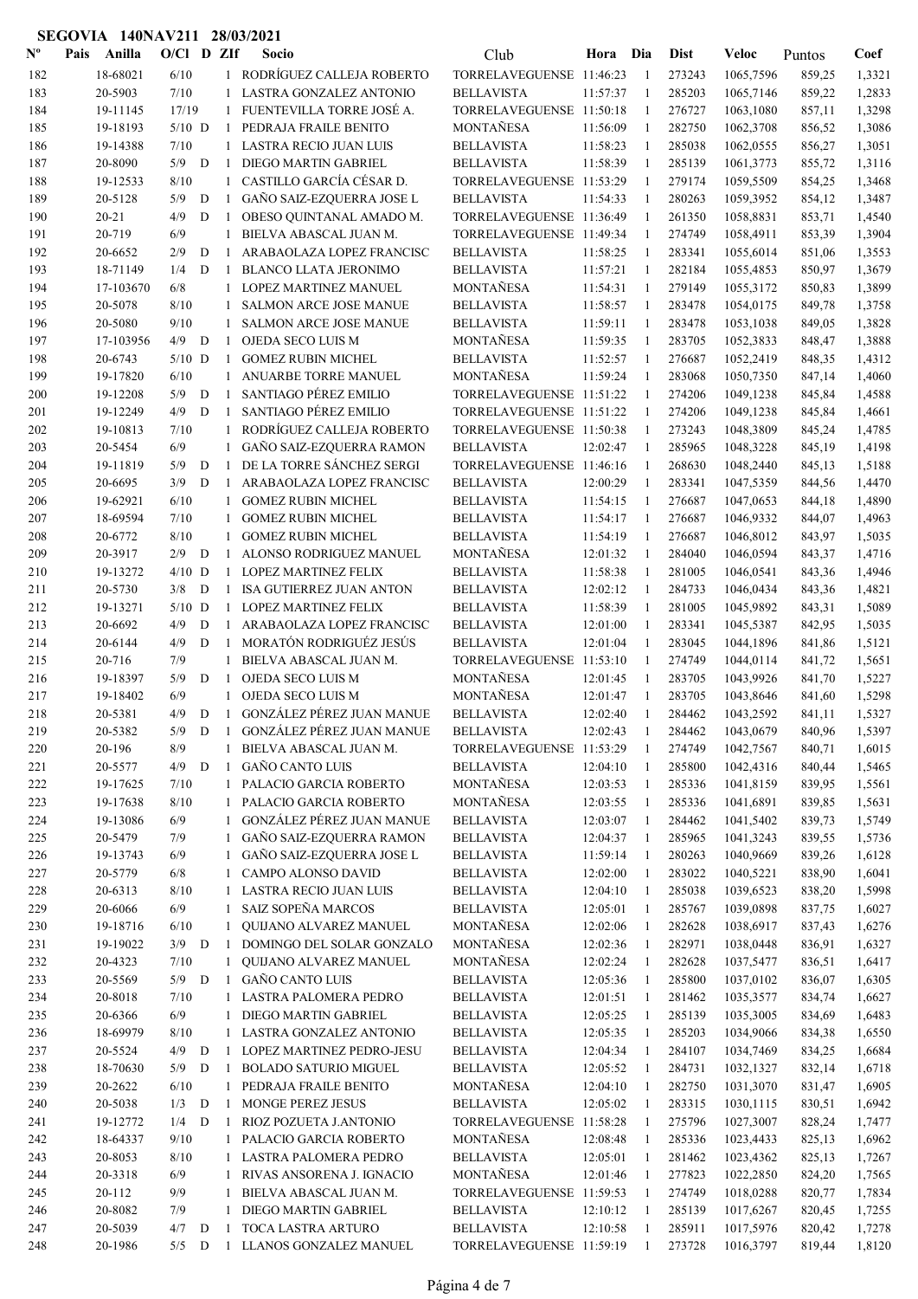| $N^{\text{o}}$ | Pais | Anilla    | $O/C1$ D ZIf |              |              | Socio                           | Club                     | Hora     | Dia          | <b>Dist</b> | Veloc     | Puntos | Coef   |
|----------------|------|-----------|--------------|--------------|--------------|---------------------------------|--------------------------|----------|--------------|-------------|-----------|--------|--------|
| 182            |      | 18-68021  | 6/10         |              |              | 1 RODRÍGUEZ CALLEJA ROBERTO     | TORRELAVEGUENSE 11:46:23 |          | $\mathbf{1}$ | 273243      | 1065,7596 | 859,25 | 1,3321 |
| 183            |      | 20-5903   | $7/10$       |              |              | LASTRA GONZALEZ ANTONIO         | <b>BELLAVISTA</b>        | 11:57:37 | -1           | 285203      | 1065,7146 | 859,22 | 1,2833 |
| 184            |      | 19-11145  | 17/19        |              | $\mathbf{1}$ | FUENTEVILLA TORRE JOSÉ A.       | TORRELAVEGUENSE 11:50:18 |          | -1           | 276727      | 1063,1080 | 857,11 | 1,3298 |
| 185            |      | 19-18193  | $5/10$ D     |              | -1           | PEDRAJA FRAILE BENITO           | MONTAÑESA                | 11:56:09 | -1           | 282750      | 1062,3708 | 856,52 | 1,3086 |
| 186            |      | 19-14388  | 7/10         |              |              | 1 LASTRA RECIO JUAN LUIS        | <b>BELLAVISTA</b>        | 11:58:23 | -1           | 285038      | 1062,0555 | 856,27 | 1,3051 |
| 187            |      | 20-8090   | 5/9          | D            | -1           | <b>DIEGO MARTIN GABRIEL</b>     | <b>BELLAVISTA</b>        | 11:58:39 | -1           | 285139      | 1061,3773 | 855,72 | 1,3116 |
| 188            |      | 19-12533  | 8/10         |              | 1            | CASTILLO GARCÍA CÉSAR D.        | TORRELAVEGUENSE 11:53:29 |          | -1           | 279174      | 1059,5509 | 854,25 | 1,3468 |
| 189            |      | 20-5128   | 5/9          | D            | -1           | GAÑO SAIZ-EZQUERRA JOSE L       | <b>BELLAVISTA</b>        | 11:54:33 | 1            | 280263      | 1059,3952 | 854,12 | 1,3487 |
| 190            |      | $20 - 21$ | 4/9          | ${\bf D}$    | -1           | OBESO QUINTANAL AMADO M.        | TORRELAVEGUENSE 11:36:49 |          | 1            | 261350      | 1058,8831 | 853,71 | 1,4540 |
| 191            |      | 20-719    | 6/9          |              | 1            | BIELVA ABASCAL JUAN M.          | TORRELAVEGUENSE 11:49:34 |          | 1            | 274749      | 1058,4911 | 853,39 | 1,3904 |
| 192            |      | 20-6652   | 2/9          | D            | -1           | ARABAOLAZA LOPEZ FRANCISC       | <b>BELLAVISTA</b>        | 11:58:25 | -1           | 283341      | 1055,6014 | 851,06 | 1,3553 |
| 193            |      | 18-71149  | 1/4          | D            | $\mathbf{1}$ | <b>BLANCO LLATA JERONIMO</b>    | <b>BELLAVISTA</b>        | 11:57:21 | 1            | 282184      | 1055,4853 | 850,97 | 1,3679 |
| 194            |      | 17-103670 | 6/8          |              | 1            | LOPEZ MARTINEZ MANUEL           | MONTAÑESA                | 11:54:31 | -1           | 279149      | 1055,3172 | 850,83 | 1,3899 |
| 195            |      | 20-5078   | 8/10         |              | 1            | SALMON ARCE JOSE MANUE          | <b>BELLAVISTA</b>        | 11:58:57 | -1           | 283478      | 1054,0175 | 849,78 | 1,3758 |
| 196            |      | 20-5080   | 9/10         |              | 1            | SALMON ARCE JOSE MANUE          | <b>BELLAVISTA</b>        | 11:59:11 | 1            | 283478      | 1053,1038 | 849,05 | 1,3828 |
| 197            |      | 17-103956 | 4/9          | D            | 1            | OJEDA SECO LUIS M               | MONTAÑESA                | 11:59:35 | -1           | 283705      | 1052,3833 | 848,47 | 1,3888 |
| 198            |      | 20-6743   | $5/10$ D     |              | $\mathbf{1}$ | <b>GOMEZ RUBIN MICHEL</b>       | <b>BELLAVISTA</b>        | 11:52:57 | -1           | 276687      | 1052,2419 | 848,35 | 1,4312 |
| 199            |      | 19-17820  | 6/10         |              | 1            | ANUARBE TORRE MANUEL            | MONTAÑESA                | 11:59:24 | -1           | 283068      | 1050,7350 | 847,14 | 1,4060 |
| 200            |      | 19-12208  | 5/9          | D            | 1            | <b>SANTIAGO PÉREZ EMILIO</b>    | TORRELAVEGUENSE 11:51:22 |          | -1           | 274206      | 1049,1238 | 845,84 | 1,4588 |
| 201            |      | 19-12249  | 4/9          | D            | $\mathbf{1}$ | SANTIAGO PÉREZ EMILIO           | TORRELAVEGUENSE 11:51:22 |          | -1           | 274206      | 1049,1238 | 845,84 | 1,4661 |
| 202            |      | 19-10813  | 7/10         |              | 1            | RODRÍGUEZ CALLEJA ROBERTO       | TORRELAVEGUENSE 11:50:38 |          | 1            | 273243      | 1048,3809 | 845,24 | 1,4785 |
| 203            |      | 20-5454   | 6/9          |              | 1            | GAÑO SAIZ-EZQUERRA RAMON        | <b>BELLAVISTA</b>        | 12:02:47 | 1            | 285965      | 1048,3228 | 845,19 | 1,4198 |
| 204            |      | 19-11819  | 5/9          | D            | -1           | DE LA TORRE SÁNCHEZ SERGI       | TORRELAVEGUENSE 11:46:16 |          | 1            | 268630      | 1048,2440 | 845,13 | 1,5188 |
| 205            |      | 20-6695   | 3/9          | D            | 1            | ARABAOLAZA LOPEZ FRANCISC       | <b>BELLAVISTA</b>        | 12:00:29 | -1           | 283341      | 1047,5359 | 844,56 | 1,4470 |
| 206            |      | 19-62921  | 6/10         |              | $\mathbf{1}$ | <b>GOMEZ RUBIN MICHEL</b>       | <b>BELLAVISTA</b>        | 11:54:15 | -1           | 276687      | 1047,0653 | 844,18 | 1,4890 |
| 207            |      | 18-69594  | 7/10         |              | 1            | <b>GOMEZ RUBIN MICHEL</b>       | <b>BELLAVISTA</b>        | 11:54:17 | -1           | 276687      | 1046,9332 | 844,07 | 1,4963 |
| 208            |      | 20-6772   | 8/10         |              | 1            | <b>GOMEZ RUBIN MICHEL</b>       | <b>BELLAVISTA</b>        | 11:54:19 | -1           | 276687      | 1046,8012 | 843,97 | 1,5035 |
| 209            |      | 20-3917   | 2/9          | D            | 1            | ALONSO RODRIGUEZ MANUEL         | MONTAÑESA                | 12:01:32 | -1           | 284040      | 1046,0594 | 843,37 | 1,4716 |
| 210            |      | 19-13272  | $4/10$ D     |              | $\mathbf{1}$ | <b>LOPEZ MARTINEZ FELIX</b>     | <b>BELLAVISTA</b>        | 11:58:38 | -1           | 281005      | 1046,0541 | 843,36 | 1,4946 |
| 211            |      | 20-5730   | 3/8          | D            | $\mathbf{1}$ | <b>ISA GUTIERREZ JUAN ANTON</b> | <b>BELLAVISTA</b>        | 12:02:12 | -1           | 284733      | 1046,0434 | 843,36 | 1,4821 |
| 212            |      | 19-13271  | $5/10$ D     |              | 1            | <b>LOPEZ MARTINEZ FELIX</b>     | <b>BELLAVISTA</b>        | 11:58:39 | -1           | 281005      | 1045,9892 | 843,31 | 1,5089 |
| 213            |      | 20-6692   | 4/9          | D            | 1            | ARABAOLAZA LOPEZ FRANCISC       | <b>BELLAVISTA</b>        | 12:01:00 | 1            | 283341      | 1045,5387 | 842,95 | 1,5035 |
| 214            |      | 20-6144   | 4/9          | D            | $\mathbf{1}$ | MORATÓN RODRIGUÉZ JESÚS         | <b>BELLAVISTA</b>        | 12:01:04 | $\mathbf{1}$ | 283045      | 1044,1896 | 841,86 | 1,5121 |
| 215            |      | 20-716    | 7/9          |              | 1            | BIELVA ABASCAL JUAN M.          | TORRELAVEGUENSE 11:53:10 |          | 1            | 274749      | 1044,0114 | 841,72 | 1,5651 |
| 216            |      | 19-18397  | 5/9          | D            | -1           | OJEDA SECO LUIS M               | MONTAÑESA                | 12:01:45 | 1            | 283705      | 1043,9926 | 841,70 | 1,5227 |
| 217            |      | 19-18402  | 6/9          |              | $\mathbf{1}$ | OJEDA SECO LUIS M               | MONTAÑESA                | 12:01:47 | 1            | 283705      | 1043,8646 | 841,60 | 1,5298 |
| 218            |      | 20-5381   | 4/9          | D            | $\mathbf{1}$ | GONZÁLEZ PÉREZ JUAN MANUE       | <b>BELLAVISTA</b>        | 12:02:40 | 1            | 284462      | 1043,2592 | 841,11 | 1,5327 |
| 219            |      | 20-5382   | 5/9          | D            | $\mathbf{1}$ | GONZÁLEZ PÉREZ JUAN MANUE       | <b>BELLAVISTA</b>        | 12:02:43 | 1            | 284462      | 1043,0679 | 840,96 | 1,5397 |
| 220            |      | 20-196    | $8/9$        |              | 1            | BIELVA ABASCAL JUAN M.          | TORRELAVEGUENSE 11:53:29 |          | 1            | 274749      | 1042,7567 | 840,71 | 1,6015 |
| 221            |      | 20-5577   | 4/9          | $\mathbf{D}$ | 1            | <b>GAÑO CANTO LUIS</b>          | <b>BELLAVISTA</b>        | 12:04:10 | -1           | 285800      | 1042,4316 | 840,44 | 1,5465 |
| 222            |      | 19-17625  | 7/10         |              |              | 1 PALACIO GARCIA ROBERTO        | MONTAÑESA                | 12:03:53 | -1           | 285336      | 1041,8159 | 839,95 | 1,5561 |
| 223            |      | 19-17638  | 8/10         |              | $\mathbf{1}$ | PALACIO GARCIA ROBERTO          | MONTAÑESA                | 12:03:55 | -1           | 285336      | 1041,6891 | 839,85 | 1,5631 |
| 224            |      | 19-13086  | 6/9          |              | $\mathbf{1}$ | GONZÁLEZ PÉREZ JUAN MANUE       | <b>BELLAVISTA</b>        | 12:03:07 | -1           | 284462      | 1041,5402 | 839,73 | 1,5749 |
| 225            |      | 20-5479   | 7/9          |              | 1            | GAÑO SAIZ-EZQUERRA RAMON        | <b>BELLAVISTA</b>        | 12:04:37 | 1            | 285965      | 1041,3243 | 839,55 | 1,5736 |
| 226            |      | 19-13743  | 6/9          |              | 1            | GAÑO SAIZ-EZQUERRA JOSE L       | <b>BELLAVISTA</b>        | 11:59:14 | 1            | 280263      | 1040,9669 | 839,26 | 1,6128 |
| 227            |      | 20-5779   | 6/8          |              | 1            | CAMPO ALONSO DAVID              | <b>BELLAVISTA</b>        | 12:02:00 | -1           | 283022      | 1040,5221 | 838,90 | 1,6041 |
| 228            |      | 20-6313   | 8/10         |              | 1            | LASTRA RECIO JUAN LUIS          | <b>BELLAVISTA</b>        | 12:04:10 | -1           | 285038      | 1039,6523 | 838,20 | 1,5998 |
| 229            |      | 20-6066   | 6/9          |              | $\mathbf{1}$ | SAIZ SOPEÑA MARCOS              | <b>BELLAVISTA</b>        | 12:05:01 | -1           | 285767      | 1039,0898 | 837,75 | 1,6027 |
| 230            |      | 19-18716  | 6/10         |              | 1            | QUIJANO ALVAREZ MANUEL          | MONTAÑESA                | 12:02:06 | 1            | 282628      | 1038,6917 | 837,43 | 1,6276 |
| 231            |      | 19-19022  | $3/9$ D      |              | -1           | DOMINGO DEL SOLAR GONZALO       | MONTAÑESA                | 12:02:36 | 1            | 282971      | 1038,0448 | 836,91 | 1,6327 |
| 232            |      | 20-4323   | 7/10         |              | 1            | QUIJANO ALVAREZ MANUEL          | MONTAÑESA                | 12:02:24 | 1            | 282628      | 1037,5477 | 836,51 | 1,6417 |
| 233            |      | 20-5569   | $5/9$ D      |              | 1            | <b>GAÑO CANTO LUIS</b>          | <b>BELLAVISTA</b>        | 12:05:36 | -1           | 285800      | 1037,0102 | 836,07 | 1,6305 |
| 234            |      | 20-8018   | 7/10         |              | $\mathbf{1}$ | LASTRA PALOMERA PEDRO           | <b>BELLAVISTA</b>        | 12:01:51 | -1           | 281462      | 1035,3577 | 834,74 | 1,6627 |
| 235            |      | 20-6366   | 6/9          |              | $\mathbf{1}$ | <b>DIEGO MARTIN GABRIEL</b>     | <b>BELLAVISTA</b>        | 12:05:25 | -1           | 285139      | 1035,3005 | 834,69 | 1,6483 |
| 236            |      | 18-69979  | 8/10         |              |              | 1 LASTRA GONZALEZ ANTONIO       | <b>BELLAVISTA</b>        | 12:05:35 | -1           | 285203      | 1034,9066 | 834,38 | 1,6550 |
| 237            |      | 20-5524   | $4/9$ D      |              | 1            | LOPEZ MARTINEZ PEDRO-JESU       | <b>BELLAVISTA</b>        | 12:04:34 | -1           | 284107      | 1034,7469 | 834,25 | 1,6684 |
| 238            |      | 18-70630  | 5/9          | D            | -1           | <b>BOLADO SATURIO MIGUEL</b>    | <b>BELLAVISTA</b>        | 12:05:52 | 1            | 284731      | 1032,1327 | 832,14 | 1,6718 |
| 239            |      | 20-2622   | 6/10         |              | 1            | PEDRAJA FRAILE BENITO           | MONTAÑESA                | 12:04:10 | 1            | 282750      | 1031,3070 | 831,47 | 1,6905 |
| 240            |      | 20-5038   | $1/3$ D      |              | -1           | MONGE PEREZ JESUS               | <b>BELLAVISTA</b>        | 12:05:02 | -1           | 283315      | 1030,1115 | 830,51 | 1,6942 |
| 241            |      | 19-12772  | $1/4$ D      |              | -1           | RIOZ POZUETA J.ANTONIO          | TORRELAVEGUENSE 11:58:28 |          | -1           | 275796      | 1027,3007 | 828,24 | 1,7477 |
| 242            |      | 18-64337  | 9/10         |              |              | 1 PALACIO GARCIA ROBERTO        | MONTAÑESA                | 12:08:48 | 1            | 285336      | 1023,4433 | 825,13 | 1,6962 |
| 243            |      | 20-8053   | 8/10         |              | 1            | LASTRA PALOMERA PEDRO           | <b>BELLAVISTA</b>        | 12:05:01 | 1            | 281462      | 1023,4362 | 825,13 | 1,7267 |
| 244            |      | 20-3318   | $6/9$        |              | 1            | RIVAS ANSORENA J. IGNACIO       | MONTAÑESA                | 12:01:46 | 1            | 277823      | 1022,2850 | 824,20 | 1,7565 |
| 245            |      | 20-112    | 9/9          |              | 1            | BIELVA ABASCAL JUAN M.          | TORRELAVEGUENSE 11:59:53 |          | 1            | 274749      | 1018,0288 | 820,77 | 1,7834 |
| 246            |      | 20-8082   | 7/9          |              | 1            | DIEGO MARTIN GABRIEL            | <b>BELLAVISTA</b>        | 12:10:12 | -1           | 285139      | 1017,6267 | 820,45 | 1,7255 |
| 247            |      | 20-5039   | 4/7          | D            | -1           | TOCA LASTRA ARTURO              | <b>BELLAVISTA</b>        | 12:10:58 | -1           | 285911      | 1017,5976 | 820,42 | 1,7278 |
| 248            |      | 20-1986   | $5/5$ D      |              |              | 1 LLANOS GONZALEZ MANUEL        | TORRELAVEGUENSE 11:59:19 |          | -1           | 273728      | 1016,3797 | 819,44 | 1,8120 |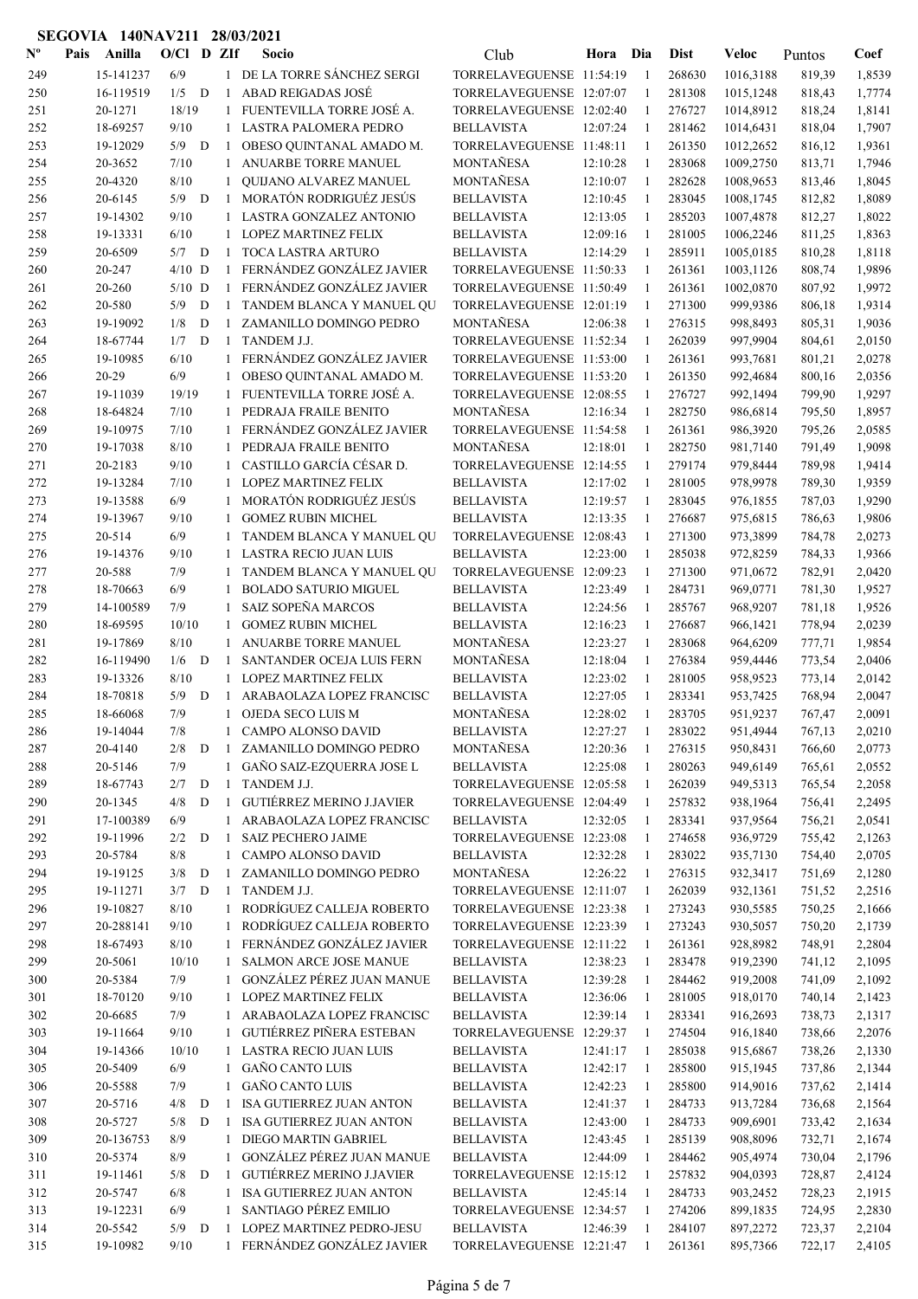| $\mathbf{N}^{\mathbf{o}}$ | Pais | Anilla                | $O/C1$ D ZIf |              |                              | Socio                                                  | Club                                                 | Hora     | Dia                | <b>Dist</b>      | Veloc                | Puntos           | Coef             |
|---------------------------|------|-----------------------|--------------|--------------|------------------------------|--------------------------------------------------------|------------------------------------------------------|----------|--------------------|------------------|----------------------|------------------|------------------|
| 249                       |      | 15-141237             | 6/9          |              |                              | 1 DE LA TORRE SÁNCHEZ SERGI                            | TORRELAVEGUENSE 11:54:19                             |          | $\overline{1}$     | 268630           | 1016,3188            | 819,39           | 1,8539           |
| 250                       |      | 16-119519             | $1/5$ D      |              | 1                            | <b>ABAD REIGADAS JOSÉ</b>                              | TORRELAVEGUENSE 12:07:07                             |          | -1                 | 281308           | 1015,1248            | 818,43           | 1,7774           |
| 251                       |      | 20-1271               | 18/19        |              | 1                            | FUENTEVILLA TORRE JOSÉ A.                              | TORRELAVEGUENSE 12:02:40                             |          | -1                 | 276727           | 1014,8912            | 818,24           | 1,8141           |
| 252                       |      | 18-69257              | 9/10         |              | 1                            | LASTRA PALOMERA PEDRO                                  | <b>BELLAVISTA</b>                                    | 12:07:24 | $\overline{1}$     | 281462           | 1014,6431            | 818,04           | 1,7907           |
| 253                       |      | 19-12029              | $5/9$ D      |              | -1                           | OBESO QUINTANAL AMADO M.                               | TORRELAVEGUENSE 11:48:11                             |          | -1                 | 261350           | 1012,2652            | 816,12           | 1,9361           |
| 254                       |      | 20-3652               | 7/10         |              | 1                            | ANUARBE TORRE MANUEL                                   | MONTAÑESA                                            | 12:10:28 | -1                 | 283068           | 1009,2750            | 813,71           | 1,7946           |
| 255                       |      | 20-4320               | 8/10         |              | 1                            | <b>OUIJANO ALVAREZ MANUEL</b>                          | MONTAÑESA                                            | 12:10:07 | -1                 | 282628           | 1008,9653            | 813,46           | 1,8045           |
| 256                       |      | 20-6145               | 5/9          | D            | $\mathbf{1}$                 | MORATÓN RODRIGUÉZ JESÚS                                | <b>BELLAVISTA</b>                                    | 12:10:45 | -1                 | 283045           | 1008,1745            | 812,82           | 1,8089           |
| 257                       |      | 19-14302              | 9/10         |              | $\mathbf{1}$                 | LASTRA GONZALEZ ANTONIO                                | <b>BELLAVISTA</b>                                    | 12:13:05 | $\mathbf{1}$       | 285203           | 1007,4878            | 812,27           | 1,8022           |
| 258                       |      | 19-13331              | 6/10         |              | 1                            | <b>LOPEZ MARTINEZ FELIX</b>                            | <b>BELLAVISTA</b>                                    | 12:09:16 | 1                  | 281005           | 1006,2246            | 811,25           | 1,8363           |
| 259                       |      | 20-6509               | 5/7          | D            | -1                           | TOCA LASTRA ARTURO                                     | <b>BELLAVISTA</b>                                    | 12:14:29 | -1                 | 285911           | 1005,0185            | 810,28           | 1,8118           |
| 260                       |      | 20-247                | $4/10$ D     |              | $\mathbf{1}$                 | FERNÁNDEZ GONZÁLEZ JAVIER                              | TORRELAVEGUENSE 11:50:33                             |          | 1                  | 261361           | 1003,1126            | 808,74           | 1,9896           |
| 261                       |      | 20-260                | $5/10$ D     |              | $\mathbf{1}$                 | FERNÁNDEZ GONZÁLEZ JAVIER                              | TORRELAVEGUENSE 11:50:49                             |          | -1                 | 261361           | 1002,0870            | 807,92           | 1,9972           |
| 262                       |      | 20-580                | 5/9<br>1/8   | D<br>D       | $\mathbf{1}$                 | TANDEM BLANCA Y MANUEL QU                              | TORRELAVEGUENSE 12:01:19                             |          | $\mathbf{1}$<br>-1 | 271300           | 999,9386             | 806,18           | 1,9314           |
| 263                       |      | 19-19092<br>18-67744  | 1/7          | D            | -1                           | ZAMANILLO DOMINGO PEDRO<br>TANDEM J.J.                 | MONTAÑESA<br>TORRELAVEGUENSE 11:52:34                | 12:06:38 | -1                 | 276315<br>262039 | 998,8493<br>997,9904 | 805,31           | 1,9036<br>2,0150 |
| 264<br>265                |      | 19-10985              | 6/10         |              | $\mathbf{1}$                 | FERNÁNDEZ GONZÁLEZ JAVIER                              | TORRELAVEGUENSE 11:53:00                             |          | $\overline{1}$     | 261361           | 993,7681             | 804,61<br>801,21 | 2,0278           |
| 266                       |      | 20-29                 | 6/9          |              | $\mathbf{1}$                 | OBESO QUINTANAL AMADO M.                               | TORRELAVEGUENSE 11:53:20                             |          | $\mathbf{1}$       | 261350           | 992,4684             | 800,16           | 2,0356           |
| 267                       |      | 19-11039              | 19/19        |              | $\mathbf{1}$                 | FUENTEVILLA TORRE JOSÉ A.                              | TORRELAVEGUENSE 12:08:55                             |          | -1                 | 276727           | 992,1494             | 799,90           | 1,9297           |
| 268                       |      | 18-64824              | 7/10         |              | 1                            | PEDRAJA FRAILE BENITO                                  | MONTAÑESA                                            | 12:16:34 | 1                  | 282750           | 986,6814             | 795,50           | 1,8957           |
| 269                       |      | 19-10975              | 7/10         |              | $\mathbf{1}$                 | FERNÁNDEZ GONZÁLEZ JAVIER                              | TORRELAVEGUENSE 11:54:58                             |          | 1                  | 261361           | 986,3920             | 795,26           | 2,0585           |
| 270                       |      | 19-17038              | 8/10         |              | $\mathbf{1}$                 | PEDRAJA FRAILE BENITO                                  | MONTAÑESA                                            | 12:18:01 | 1                  | 282750           | 981,7140             | 791,49           | 1,9098           |
| 271                       |      | 20-2183               | 9/10         |              | $\mathbf{1}$                 | CASTILLO GARCÍA CÉSAR D.                               | TORRELAVEGUENSE 12:14:55                             |          | 1                  | 279174           | 979,8444             | 789,98           | 1,9414           |
| 272                       |      | 19-13284              | 7/10         |              |                              | <b>LOPEZ MARTINEZ FELIX</b>                            | <b>BELLAVISTA</b>                                    | 12:17:02 | -1                 | 281005           | 978,9978             | 789,30           | 1,9359           |
| 273                       |      | 19-13588              | 6/9          |              |                              | MORATÓN RODRIGUÉZ JESÚS                                | <b>BELLAVISTA</b>                                    | 12:19:57 | -1                 | 283045           | 976,1855             | 787,03           | 1,9290           |
| 274                       |      | 19-13967              | 9/10         |              | $\mathbf{1}$                 | <b>GOMEZ RUBIN MICHEL</b>                              | <b>BELLAVISTA</b>                                    | 12:13:35 | -1                 | 276687           | 975,6815             | 786,63           | 1,9806           |
| 275                       |      | 20-514                | 6/9          |              |                              | TANDEM BLANCA Y MANUEL QU                              | TORRELAVEGUENSE 12:08:43                             |          | -1                 | 271300           | 973,3899             | 784,78           | 2,0273           |
| 276                       |      | 19-14376              | 9/10         |              | 1                            | LASTRA RECIO JUAN LUIS                                 | <b>BELLAVISTA</b>                                    | 12:23:00 | -1                 | 285038           | 972,8259             | 784,33           | 1,9366           |
| 277                       |      | 20-588                | 7/9          |              |                              | TANDEM BLANCA Y MANUEL QU                              | TORRELAVEGUENSE 12:09:23                             |          | -1                 | 271300           | 971,0672             | 782,91           | 2,0420           |
| 278                       |      | 18-70663              | 6/9          |              |                              | <b>BOLADO SATURIO MIGUEL</b>                           | <b>BELLAVISTA</b>                                    | 12:23:49 | -1                 | 284731           | 969,0771             | 781,30           | 1,9527           |
| 279                       |      | 14-100589             | 7/9          |              | 1                            | SAIZ SOPEÑA MARCOS                                     | <b>BELLAVISTA</b>                                    | 12:24:56 | -1                 | 285767           | 968,9207             | 781,18           | 1,9526           |
| 280                       |      | 18-69595              | 10/10        |              | 1                            | <b>GOMEZ RUBIN MICHEL</b>                              | <b>BELLAVISTA</b>                                    | 12:16:23 | -1                 | 276687           | 966,1421             | 778,94           | 2,0239           |
| 281                       |      | 19-17869              | 8/10         |              | 1                            | <b>ANUARBE TORRE MANUEL</b>                            | MONTAÑESA                                            | 12:23:27 | 1                  | 283068           | 964,6209             | 777,71           | 1,9854           |
| 282                       |      | 16-119490             | 1/6          | D            | $\mathbf{1}$                 | SANTANDER OCEJA LUIS FERN                              | MONTAÑESA                                            | 12:18:04 | 1                  | 276384           | 959,4446             | 773,54           | 2,0406           |
| 283                       |      | 19-13326              | 8/10         |              | $\mathbf{1}$                 | <b>LOPEZ MARTINEZ FELIX</b>                            | <b>BELLAVISTA</b>                                    | 12:23:02 | -1                 | 281005           | 958,9523             | 773,14           | 2,0142           |
| 284                       |      | 18-70818              | 5/9          | D            | -1                           | ARABAOLAZA LOPEZ FRANCISC                              | <b>BELLAVISTA</b>                                    | 12:27:05 | -1                 | 283341           | 953,7425             | 768,94           | 2,0047           |
| 285                       |      | 18-66068              | 7/9          |              | $\mathbf{1}$                 | OJEDA SECO LUIS M                                      | <b>MONTAÑESA</b>                                     | 12:28:02 | -1                 | 283705           | 951,9237             | 767,47           | 2,0091           |
| 286                       |      | 19-14044              | 7/8          |              | 1                            | CAMPO ALONSO DAVID                                     | <b>BELLAVISTA</b>                                    | 12:27:27 | 1                  | 283022           | 951,4944             | 767,13           | 2,0210           |
| 287                       |      | 20-4140               | 2/8          | D            |                              | 1 ZAMANILLO DOMINGO PEDRO                              | MONTAÑESA                                            | 12:20:36 | 1                  | 276315           | 950,8431             | 766,60           | 2,0773           |
| 288                       |      | 20-5146               | 7/9          |              | $\mathbf{1}$                 | GAÑO SAIZ-EZQUERRA JOSE L                              | <b>BELLAVISTA</b>                                    | 12:25:08 | -1                 | 280263           | 949,6149             | 765,61           | 2,0552           |
| 289                       |      | 18-67743              | 2/7          | ${\bf D}$    | 1                            | TANDEM J.J.                                            | TORRELAVEGUENSE 12:05:58                             |          | -1                 | 262039           | 949,5313             | 765,54           | 2,2058           |
| 290                       |      | 20-1345               | 4/8          | D            | -1                           | GUTIÉRREZ MERINO J.JAVIER                              | TORRELAVEGUENSE 12:04:49                             |          | -1                 | 257832           | 938,1964             | 756,41           | 2,2495           |
| 291                       |      | 17-100389             | $6/9$        |              | $\mathbf{1}$                 | ARABAOLAZA LOPEZ FRANCISC                              | <b>BELLAVISTA</b>                                    | 12:32:05 | -1                 | 283341           | 937,9564             | 756,21           | 2,0541           |
| 292                       |      | 19-11996              | 2/2          | D            | -1                           | <b>SAIZ PECHERO JAIME</b>                              | TORRELAVEGUENSE 12:23:08                             |          | -1                 | 274658           | 936,9729             | 755,42           | 2,1263           |
| 293                       |      | 20-5784               | $8/8$        |              | 1                            | CAMPO ALONSO DAVID                                     | <b>BELLAVISTA</b>                                    | 12:32:28 | -1                 | 283022           | 935,7130             | 754,40           | 2,0705           |
| 294                       |      | 19-19125              | 3/8          | $\mathbf D$  | 1                            | ZAMANILLO DOMINGO PEDRO                                | MONTAÑESA                                            | 12:26:22 | 1                  | 276315           | 932,3417             | 751,69           | 2,1280           |
| 295                       |      | 19-11271              | $3/7$ D      |              | 1                            | TANDEM J.J.                                            | TORRELAVEGUENSE 12:11:07                             |          | 1                  | 262039           | 932,1361             | 751,52           | 2,2516           |
| 296                       |      | 19-10827              | 8/10<br>9/10 |              | $\mathbf{1}$<br>$\mathbf{1}$ | RODRÍGUEZ CALLEJA ROBERTO                              | TORRELAVEGUENSE 12:23:38<br>TORRELAVEGUENSE 12:23:39 |          | 1<br>$\mathbf{1}$  | 273243           | 930,5585             | 750,25           | 2,1666           |
| 297<br>298                |      | 20-288141<br>18-67493 | 8/10         |              |                              | RODRÍGUEZ CALLEJA ROBERTO<br>FERNÁNDEZ GONZÁLEZ JAVIER | TORRELAVEGUENSE 12:11:22                             |          | $\mathbf{1}$       | 273243<br>261361 | 930,5057<br>928,8982 | 750,20<br>748,91 | 2,1739<br>2,2804 |
| 299                       |      | 20-5061               | 10/10        |              | 1                            | SALMON ARCE JOSE MANUE                                 | <b>BELLAVISTA</b>                                    | 12:38:23 | $\mathbf{1}$       | 283478           | 919,2390             | 741,12           | 2,1095           |
| 300                       |      | 20-5384               | 7/9          |              | 1                            | GONZÁLEZ PÉREZ JUAN MANUE                              | <b>BELLAVISTA</b>                                    | 12:39:28 | -1                 | 284462           | 919,2008             | 741,09           | 2,1092           |
| 301                       |      | 18-70120              | 9/10         |              | 1                            | LOPEZ MARTINEZ FELIX                                   | <b>BELLAVISTA</b>                                    | 12:36:06 | -1                 | 281005           | 918,0170             | 740,14           | 2,1423           |
| 302                       |      | 20-6685               | 7/9          |              |                              | 1 ARABAOLAZA LOPEZ FRANCISC                            | <b>BELLAVISTA</b>                                    | 12:39:14 | -1                 | 283341           | 916,2693             | 738,73           | 2,1317           |
| 303                       |      | 19-11664              | 9/10         |              |                              | 1 GUTIÉRREZ PIÑERA ESTEBAN                             | TORRELAVEGUENSE 12:29:37                             |          | -1                 | 274504           | 916,1840             | 738,66           | 2,2076           |
| 304                       |      | 19-14366              | 10/10        |              |                              | 1 LASTRA RECIO JUAN LUIS                               | <b>BELLAVISTA</b>                                    | 12:41:17 | -1                 | 285038           | 915,6867             | 738,26           | 2,1330           |
| 305                       |      | 20-5409               | 6/9          |              | 1                            | <b>GAÑO CANTO LUIS</b>                                 | <b>BELLAVISTA</b>                                    | 12:42:17 | -1                 | 285800           | 915,1945             | 737,86           | 2,1344           |
| 306                       |      | 20-5588               | 7/9          |              | 1                            | <b>GAÑO CANTO LUIS</b>                                 | <b>BELLAVISTA</b>                                    | 12:42:23 | 1                  | 285800           | 914,9016             | 737,62           | 2,1414           |
| 307                       |      | 20-5716               | 4/8          | $\mathbf D$  | 1                            | ISA GUTIERREZ JUAN ANTON                               | <b>BELLAVISTA</b>                                    | 12:41:37 | -1                 | 284733           | 913,7284             | 736,68           | 2,1564           |
| 308                       |      | 20-5727               | 5/8          | D            | 1                            | <b>ISA GUTIERREZ JUAN ANTON</b>                        | <b>BELLAVISTA</b>                                    | 12:43:00 | -1                 | 284733           | 909,6901             | 733,42           | 2,1634           |
| 309                       |      | 20-136753             | 8/9          |              | $\mathbf{1}$                 | DIEGO MARTIN GABRIEL                                   | <b>BELLAVISTA</b>                                    | 12:43:45 | -1                 | 285139           | 908,8096             | 732,71           | 2,1674           |
| 310                       |      | 20-5374               | 8/9          |              | $\mathbf{1}$                 | GONZÁLEZ PÉREZ JUAN MANUE                              | <b>BELLAVISTA</b>                                    | 12:44:09 | 1                  | 284462           | 905,4974             | 730,04           | 2,1796           |
| 311                       |      | 19-11461              | 5/8          | D            | $\mathbf{1}$                 | GUTIÉRREZ MERINO J.JAVIER                              | TORRELAVEGUENSE 12:15:12                             |          | $\mathbf{1}$       | 257832           | 904,0393             | 728,87           | 2,4124           |
| 312                       |      | 20-5747               | $6/8$        |              | 1                            | ISA GUTIERREZ JUAN ANTON                               | <b>BELLAVISTA</b>                                    | 12:45:14 | -1                 | 284733           | 903,2452             | 728,23           | 2,1915           |
| 313                       |      | 19-12231              | 6/9          |              | 1                            | SANTIAGO PÉREZ EMILIO                                  | TORRELAVEGUENSE 12:34:57                             |          | -1                 | 274206           | 899,1835             | 724,95           | 2,2830           |
| 314                       |      | 20-5542               | 5/9          | $\mathbf{D}$ | $\mathbf{1}$                 | LOPEZ MARTINEZ PEDRO-JESU                              | <b>BELLAVISTA</b>                                    | 12:46:39 | -1                 | 284107           | 897,2272             | 723,37           | 2,2104           |
| 315                       |      | 19-10982              | 9/10         |              |                              | 1 FERNÁNDEZ GONZÁLEZ JAVIER                            | TORRELAVEGUENSE 12:21:47                             |          | -1                 | 261361           | 895,7366             | 722,17           | 2,4105           |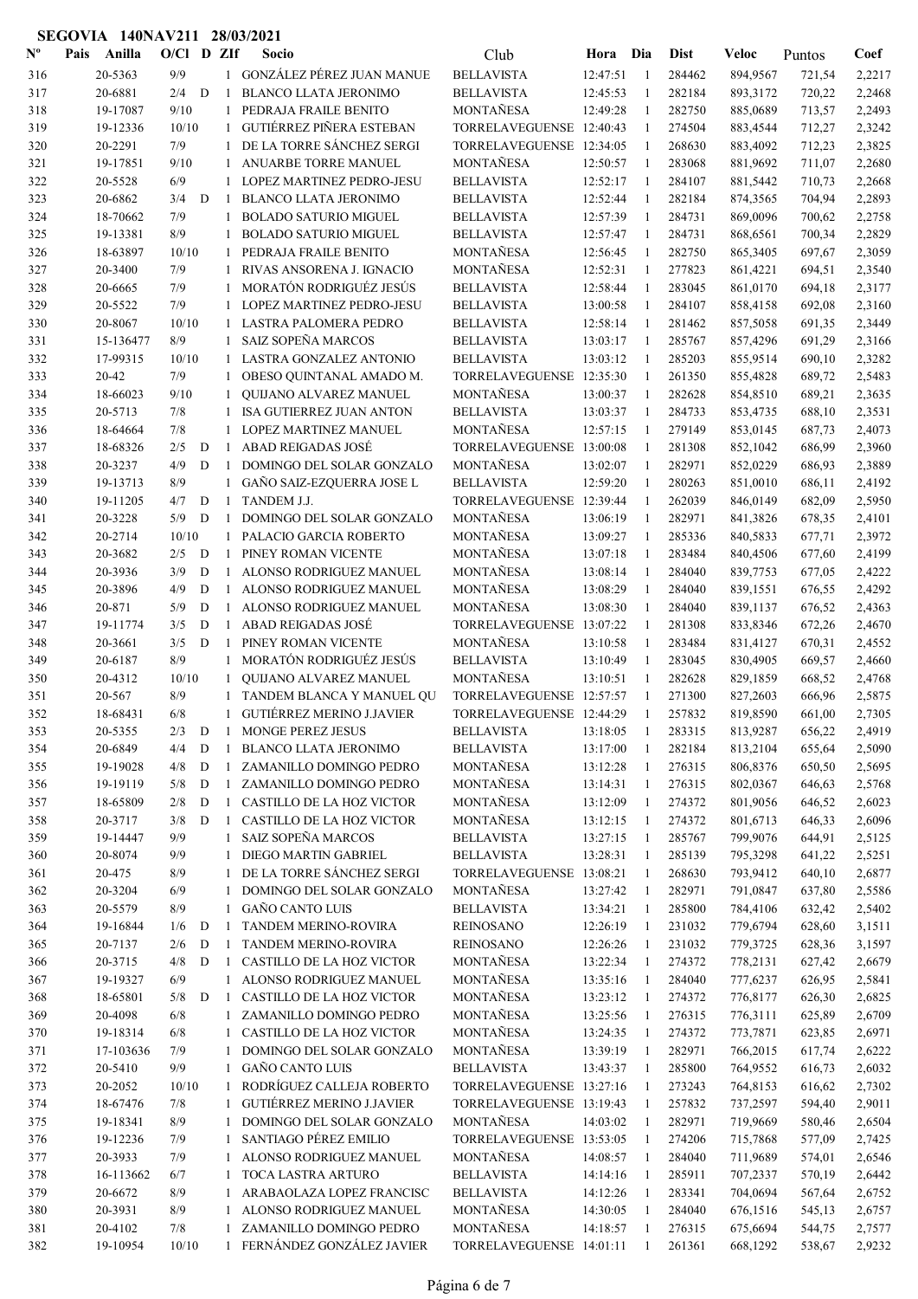| $N^{\text{o}}$ | Pais | Anilla             | $O/Cl$ D $Zlf$ |   |                   | Socio                                               | Club                                  | Hora Dia             |                | <b>Dist</b>      | Veloc                | Puntos           | Coef             |
|----------------|------|--------------------|----------------|---|-------------------|-----------------------------------------------------|---------------------------------------|----------------------|----------------|------------------|----------------------|------------------|------------------|
| 316            |      | 20-5363            | 9/9            |   |                   | 1 GONZÁLEZ PÉREZ JUAN MANUE                         | <b>BELLAVISTA</b>                     | 12:47:51             | -1             | 284462           | 894,9567             | 721,54           | 2,2217           |
| 317            |      | 20-6881            | 2/4            | D | 1                 | <b>BLANCO LLATA JERONIMO</b>                        | <b>BELLAVISTA</b>                     | 12:45:53             | -1             | 282184           | 893,3172             | 720,22           | 2,2468           |
| 318            |      | 19-17087           | 9/10           |   | 1                 | PEDRAJA FRAILE BENITO                               | <b>MONTANESA</b>                      | 12:49:28             | -1             | 282750           | 885,0689             | 713,57           | 2,2493           |
| 319            |      | 19-12336           | 10/10          |   | $\mathbf{1}$      | GUTIÉRREZ PIÑERA ESTEBAN                            | TORRELAVEGUENSE 12:40:43              |                      | $\overline{1}$ | 274504           | 883,4544             | 712,27           | 2,3242           |
| 320            |      | 20-2291            | 7/9            |   | 1                 | DE LA TORRE SÁNCHEZ SERGI                           | TORRELAVEGUENSE 12:34:05              |                      | 1              | 268630           | 883,4092             | 712,23           | 2,3825           |
| 321            |      | 19-17851           | 9/10           |   | 1                 | ANUARBE TORRE MANUEL                                | MONTAÑESA                             | 12:50:57             | -1             | 283068           | 881,9692             | 711,07           | 2,2680           |
| 322            |      | 20-5528            | 6/9            |   |                   | 1 LOPEZ MARTINEZ PEDRO-JESU                         | <b>BELLAVISTA</b>                     | 12:52:17             | -1             | 284107           | 881,5442             | 710,73           | 2,2668           |
| 323            |      | 20-6862            | 3/4            | D | $\mathbf{1}$      | BLANCO LLATA JERONIMO                               | <b>BELLAVISTA</b>                     | 12:52:44             | $\mathbf{1}$   | 282184           | 874,3565             | 704,94           | 2,2893           |
| 324            |      | 18-70662           | 7/9            |   | 1                 | <b>BOLADO SATURIO MIGUEL</b>                        | <b>BELLAVISTA</b>                     | 12:57:39             | -1             | 284731           | 869,0096             | 700,62           | 2,2758           |
| 325            |      | 19-13381           | 8/9            |   | 1                 | <b>BOLADO SATURIO MIGUEL</b>                        | <b>BELLAVISTA</b>                     | 12:57:47             | -1             | 284731           | 868,6561             | 700,34           | 2,2829           |
| 326            |      | 18-63897           | 10/10          |   | 1                 | PEDRAJA FRAILE BENITO                               | MONTAÑESA                             | 12:56:45             | -1             | 282750           | 865,3405             | 697,67           | 2,3059           |
| 327            |      | 20-3400            | 7/9            |   | 1                 | RIVAS ANSORENA J. IGNACIO                           | MONTAÑESA                             | 12:52:31             | 1              | 277823           | 861,4221             | 694,51           | 2,3540           |
| 328            |      | 20-6665            | 7/9            |   | $\mathbf{1}$      | MORATÓN RODRIGUÉZ JESÚS                             | <b>BELLAVISTA</b>                     | 12:58:44             | 1              | 283045           | 861,0170             | 694,18           | 2,3177           |
| 329            |      | 20-5522            | 7/9            |   |                   | LOPEZ MARTINEZ PEDRO-JESU                           | <b>BELLAVISTA</b>                     | 13:00:58             | -1             | 284107           | 858,4158             | 692,08           | 2,3160           |
| 330            |      | 20-8067            | 10/10          |   | 1                 | LASTRA PALOMERA PEDRO                               | <b>BELLAVISTA</b>                     | 12:58:14             | -1             | 281462           | 857,5058             | 691,35           | 2,3449           |
| 331            |      | 15-136477          | 8/9            |   | $\mathbf{1}$      | <b>SAIZ SOPEÑA MARCOS</b>                           | <b>BELLAVISTA</b>                     | 13:03:17             | -1             | 285767           | 857,4296             | 691,29           | 2,3166           |
| 332            |      | 17-99315           | 10/10          |   | 1                 | LASTRA GONZALEZ ANTONIO                             | <b>BELLAVISTA</b>                     | 13:03:12             | $\overline{1}$ | 285203           | 855,9514             | 690,10           | 2,3282           |
| 333            |      | 20-42              | 7/9            |   | 1                 | OBESO QUINTANAL AMADO M.                            | TORRELAVEGUENSE 12:35:30              |                      | -1             | 261350           | 855,4828             | 689,72           | 2,5483           |
| 334            |      | 18-66023           | 9/10           |   | $\mathbf{1}$      | QUIJANO ALVAREZ MANUEL                              | MONTAÑESA                             | 13:00:37             | -1             | 282628           | 854,8510             | 689,21           | 2,3635           |
| 335            |      | 20-5713            | 7/8            |   | 1                 | ISA GUTIERREZ JUAN ANTON                            | <b>BELLAVISTA</b>                     | 13:03:37             | -1             | 284733           | 853,4735             | 688,10           | 2,3531           |
| 336            |      | 18-64664           | 7/8            |   | $\mathbf{1}$      | LOPEZ MARTINEZ MANUEL                               | MONTAÑESA                             | 12:57:15             | 1              | 279149           | 853,0145             | 687,73           | 2,4073           |
| 337            |      | 18-68326           | 2/5            | D | 1                 | <b>ABAD REIGADAS JOSÉ</b>                           | TORRELAVEGUENSE 13:00:08              |                      | -1             | 281308           | 852,1042             | 686,99           | 2,3960           |
| 338            |      | 20-3237            | 4/9            | D | $\mathbf{1}$      | DOMINGO DEL SOLAR GONZALO                           | MONTAÑESA                             | 13:02:07             | -1             | 282971           | 852,0229             | 686,93           | 2,3889           |
| 339            |      | 19-13713           | 8/9            |   | $\mathbf{1}$      | GAÑO SAIZ-EZQUERRA JOSE L                           | <b>BELLAVISTA</b>                     | 12:59:20             | -1             | 280263           | 851,0010             | 686,11           | 2,4192           |
| 340            |      | 19-11205           | 4/7            | D | -1                | TANDEM J.J.                                         | TORRELAVEGUENSE 12:39:44              |                      | -1             | 262039           | 846,0149             | 682,09           | 2,5950           |
| 341            |      | 20-3228            | 5/9            | D | 1                 | DOMINGO DEL SOLAR GONZALO                           | MONTAÑESA                             | 13:06:19             | -1             | 282971           | 841,3826             | 678,35           | 2,4101           |
| 342            |      | 20-2714            | 10/10          |   |                   | 1 PALACIO GARCIA ROBERTO                            | MONTAÑESA                             | 13:09:27             | -1             | 285336           | 840,5833             | 677,71           | 2,3972           |
| 343            |      | 20-3682            | 2/5            | D | $\mathbf{1}$      | PINEY ROMAN VICENTE                                 | MONTAÑESA                             | 13:07:18             | -1             | 283484           | 840,4506             | 677,60           | 2,4199           |
| 344            |      | 20-3936            | 3/9            | D | -1                | ALONSO RODRIGUEZ MANUEL                             | MONTAÑESA                             | 13:08:14             | $\overline{1}$ | 284040           | 839,7753             | 677,05           | 2,4222           |
| 345            |      | 20-3896            | 4/9            | D | $\mathbf{1}$      | ALONSO RODRIGUEZ MANUEL                             | MONTAÑESA                             | 13:08:29             | $\mathbf{1}$   | 284040           | 839,1551             | 676,55           | 2,4292           |
| 346            |      | 20-871             | 5/9            | D | 1                 | ALONSO RODRIGUEZ MANUEL<br>ABAD REIGADAS JOSÉ       | MONTAÑESA                             | 13:08:30             | -1             | 284040           | 839,1137             | 676,52           | 2,4363           |
| 347            |      | 19-11774           | 3/5            | D | 1<br>$\mathbf{1}$ |                                                     | TORRELAVEGUENSE 13:07:22<br>MONTAÑESA |                      | -1<br>-1       | 281308<br>283484 | 833,8346             | 672,26           | 2,4670           |
| 348            |      | 20-3661<br>20-6187 | 3/5<br>8/9     | D | $\mathbf{1}$      | PINEY ROMAN VICENTE<br>MORATÓN RODRIGUÉZ JESÚS      | <b>BELLAVISTA</b>                     | 13:10:58<br>13:10:49 | -1             |                  | 831,4127             | 670,31           | 2,4552           |
| 349            |      | 20-4312            | 10/10          |   | 1                 |                                                     | MONTAÑESA                             | 13:10:51             | -1             | 283045<br>282628 | 830,4905             | 669,57           | 2,4660           |
| 350            |      | 20-567             | 8/9            |   | $\mathbf{1}$      | QUIJANO ALVAREZ MANUEL<br>TANDEM BLANCA Y MANUEL QU | TORRELAVEGUENSE 12:57:57              |                      | 1              | 271300           | 829,1859<br>827,2603 | 668,52<br>666,96 | 2,4768           |
| 351<br>352     |      | 18-68431           | 6/8            |   | $\mathbf{1}$      | <b>GUTIÉRREZ MERINO J.JAVIER</b>                    | TORRELAVEGUENSE 12:44:29              |                      | 1              | 257832           | 819,8590             | 661,00           | 2,5875<br>2,7305 |
| 353            |      | 20-5355            | $2/3$ D 1      |   |                   | <b>MONGE PEREZ JESUS</b>                            | <b>BELLAVISTA</b>                     | 13:18:05             |                | 283315           | 813,9287             |                  | 2,4919           |
| 354            |      | 20-6849            | 4/4            | D |                   | 1 BLANCO LLATA JERONIMO                             | <b>BELLAVISTA</b>                     | 13:17:00             | -1             | 282184           | 813,2104             | 656,22<br>655,64 | 2,5090           |
| 355            |      | 19-19028           | 4/8            | D | 1                 | ZAMANILLO DOMINGO PEDRO                             | MONTAÑESA                             | 13:12:28             | 1              | 276315           | 806,8376             | 650,50           | 2,5695           |
| 356            |      | 19-19119           | 5/8            | D | 1                 | ZAMANILLO DOMINGO PEDRO                             | MONTAÑESA                             | 13:14:31             | -1             | 276315           | 802,0367             | 646,63           | 2,5768           |
| 357            |      | 18-65809           | 2/8            | D | 1                 | CASTILLO DE LA HOZ VICTOR                           | MONTAÑESA                             | 13:12:09             | -1             | 274372           | 801,9056             | 646,52           | 2,6023           |
| 358            |      | 20-3717            | 3/8            | D | $\mathbf{1}$      | CASTILLO DE LA HOZ VICTOR                           | MONTAÑESA                             | 13:12:15             | -1             | 274372           | 801,6713             | 646,33           | 2,6096           |
| 359            |      | 19-14447           | 9/9            |   |                   | 1 SAIZ SOPEÑA MARCOS                                | <b>BELLAVISTA</b>                     | 13:27:15             | -1             | 285767           | 799,9076             | 644,91           | 2,5125           |
| 360            |      | 20-8074            | 9/9            |   | $\mathbf{1}$      | DIEGO MARTIN GABRIEL                                | <b>BELLAVISTA</b>                     | 13:28:31             | 1              | 285139           | 795,3298             | 641,22           | 2,5251           |
| 361            |      | 20-475             | 8/9            |   | $\mathbf{1}$      | DE LA TORRE SÁNCHEZ SERGI                           | TORRELAVEGUENSE 13:08:21              |                      | 1              | 268630           | 793,9412             | 640,10           | 2,6877           |
| 362            |      | 20-3204            | 6/9            |   | 1                 | DOMINGO DEL SOLAR GONZALO                           | MONTAÑESA                             | 13:27:42             | -1             | 282971           | 791,0847             | 637,80           | 2,5586           |
| 363            |      | 20-5579            | 8/9            |   | $\mathbf{1}$      | <b>GAÑO CANTO LUIS</b>                              | <b>BELLAVISTA</b>                     | 13:34:21             | -1             | 285800           | 784,4106             | 632,42           | 2,5402           |
| 364            |      | 19-16844           | 1/6            | D | -1                | <b>TANDEM MERINO-ROVIRA</b>                         | <b>REINOSANO</b>                      | 12:26:19             | 1              | 231032           | 779,6794             | 628,60           | 3,1511           |
| 365            |      | 20-7137            | 2/6            | D | $\mathbf{1}$      | TANDEM MERINO-ROVIRA                                | <b>REINOSANO</b>                      | 12:26:26             | -1             | 231032           | 779,3725             | 628,36           | 3,1597           |
| 366            |      | 20-3715            | 4/8            | D | $\mathbf{1}$      | CASTILLO DE LA HOZ VICTOR                           | MONTAÑESA                             | 13:22:34             | -1             | 274372           | 778,2131             | 627,42           | 2,6679           |
| 367            |      | 19-19327           | 6/9            |   | $\mathbf{1}$      | ALONSO RODRIGUEZ MANUEL                             | MONTAÑESA                             | 13:35:16             | $\mathbf{1}$   | 284040           | 777,6237             | 626,95           | 2,5841           |
| 368            |      | 18-65801           | 5/8            | D | -1                | CASTILLO DE LA HOZ VICTOR                           | MONTAÑESA                             | 13:23:12             | -1             | 274372           | 776,8177             | 626,30           | 2,6825           |
| 369            |      | 20-4098            | $6/8$          |   | $\mathbf{1}$      | ZAMANILLO DOMINGO PEDRO                             | MONTAÑESA                             | 13:25:56             | -1             | 276315           | 776,3111             | 625,89           | 2,6709           |
| 370            |      | 19-18314           | 6/8            |   | 1                 | CASTILLO DE LA HOZ VICTOR                           | MONTAÑESA                             | 13:24:35             | 1              | 274372           | 773,7871             | 623,85           | 2,6971           |
| 371            |      | 17-103636          | 7/9            |   | $\mathbf{1}$      | DOMINGO DEL SOLAR GONZALO                           | MONTAÑESA                             | 13:39:19             | -1             | 282971           | 766,2015             | 617,74           | 2,6222           |
| 372            |      | 20-5410            | 9/9            |   | $\mathbf{1}$      | <b>GAÑO CANTO LUIS</b>                              | <b>BELLAVISTA</b>                     | 13:43:37             | -1             | 285800           | 764,9552             | 616,73           | 2,6032           |
| 373            |      | 20-2052            | 10/10          |   | $\mathbf{1}$      | RODRÍGUEZ CALLEJA ROBERTO                           | TORRELAVEGUENSE 13:27:16              |                      | $\mathbf{1}$   | 273243           | 764,8153             | 616,62           | 2,7302           |
| 374            |      | 18-67476           | 7/8            |   | $\mathbf{1}$      | <b>GUTIÉRREZ MERINO J.JAVIER</b>                    | TORRELAVEGUENSE 13:19:43              |                      | -1             | 257832           | 737,2597             | 594,40           | 2,9011           |
| 375            |      | 19-18341           | 8/9            |   | 1                 | DOMINGO DEL SOLAR GONZALO                           | MONTAÑESA                             | 14:03:02             | 1              | 282971           | 719,9669             | 580,46           | 2,6504           |
| 376            |      | 19-12236           | 7/9            |   | 1                 | SANTIAGO PÉREZ EMILIO                               | TORRELAVEGUENSE 13:53:05              |                      | 1              | 274206           | 715,7868             | 577,09           | 2,7425           |
| 377            |      | 20-3933            | 7/9            |   |                   | 1 ALONSO RODRIGUEZ MANUEL                           | MONTAÑESA                             | 14:08:57             | -1             | 284040           | 711,9689             | 574,01           | 2,6546           |
| 378            |      | 16-113662          | 6/7            |   | $\mathbf{1}$      | TOCA LASTRA ARTURO                                  | <b>BELLAVISTA</b>                     | 14:14:16             | -1             | 285911           | 707,2337             | 570,19           | 2,6442           |
| 379            |      | 20-6672            | 8/9            |   | 1                 | ARABAOLAZA LOPEZ FRANCISC                           | <b>BELLAVISTA</b>                     | 14:12:26             | -1             | 283341           | 704,0694             | 567,64           | 2,6752           |
| 380            |      | 20-3931            | 8/9            |   | 1                 | ALONSO RODRIGUEZ MANUEL                             | MONTAÑESA                             | 14:30:05             | -1             | 284040           | 676,1516             | 545,13           | 2,6757           |
| 381            |      | 20-4102            | 7/8            |   | 1                 | ZAMANILLO DOMINGO PEDRO                             | MONTAÑESA                             | 14:18:57             | 1              | 276315           | 675,6694             | 544,75           | 2,7577           |
| 382            |      | 19-10954           | 10/10          |   | $\mathbf{1}$      | FERNÁNDEZ GONZÁLEZ JAVIER                           | TORRELAVEGUENSE 14:01:11              |                      | $\mathbf{1}$   | 261361           | 668,1292             | 538,67           | 2,9232           |